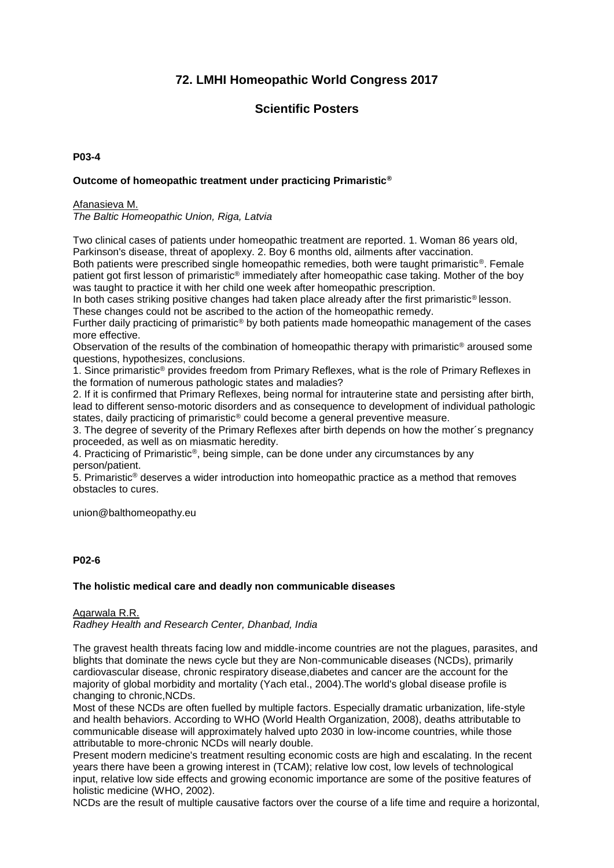# **72. LMHI Homeopathic World Congress 2017**

# **Scientific Posters**

## **P03-4**

# **Outcome of homeopathic treatment under practicing Primaristic®**

## Afanasieva M.

*The Baltic Homeopathic Union, Riga, Latvia*

Two clinical cases of patients under homeopathic treatment are reported. 1. Woman 86 years old, Parkinson's disease, threat of apoplexy. 2. Boy 6 months old, ailments after vaccination.

Both patients were prescribed single homeopathic remedies, both were taught primaristic<sup>®</sup>. Female patient got first lesson of primaristic® immediately after homeopathic case taking. Mother of the boy was taught to practice it with her child one week after homeopathic prescription.

In both cases striking positive changes had taken place already after the first primaristic<sup>®</sup> lesson. These changes could not be ascribed to the action of the homeopathic remedy.

Further daily practicing of primaristic® by both patients made homeopathic management of the cases more effective.

Observation of the results of the combination of homeopathic therapy with primaristic® aroused some questions, hypothesizes, conclusions.

1. Since primaristic® provides freedom from Primary Reflexes, what is the role of Primary Reflexes in the formation of numerous pathologic states and maladies?

2. If it is confirmed that Primary Reflexes, being normal for intrauterine state and persisting after birth, lead to different senso-motoric disorders and as consequence to development of individual pathologic states, daily practicing of primaristic® could become a general preventive measure.

3. The degree of severity of the Primary Reflexes after birth depends on how the mother´s pregnancy proceeded, as well as on miasmatic heredity.

4. Practicing of Primaristic®, being simple, can be done under any circumstances by any person/patient.

5. Primaristic® deserves a wider introduction into homeopathic practice as a method that removes obstacles to cures.

union@balthomeopathy.eu

# **P02-6**

#### **The holistic medical care and deadly non communicable diseases**

## Agarwala R.R.

*Radhey Health and Research Center, Dhanbad, India*

The gravest health threats facing low and middle-income countries are not the plagues, parasites, and blights that dominate the news cycle but they are Non-communicable diseases (NCDs), primarily cardiovascular disease, chronic respiratory disease,diabetes and cancer are the account for the majority of global morbidity and mortality (Yach etal., 2004).The world's global disease profile is changing to chronic,NCDs.

Most of these NCDs are often fuelled by multiple factors. Especially dramatic urbanization, life-style and health behaviors. According to WHO (World Health Organization, 2008), deaths attributable to communicable disease will approximately halved upto 2030 in low-income countries, while those attributable to more-chronic NCDs will nearly double.

Present modern medicine's treatment resulting economic costs are high and escalating. In the recent years there have been a growing interest in (TCAM); relative low cost, low levels of technological input, relative low side effects and growing economic importance are some of the positive features of holistic medicine (WHO, 2002).

NCDs are the result of multiple causative factors over the course of a life time and require a horizontal,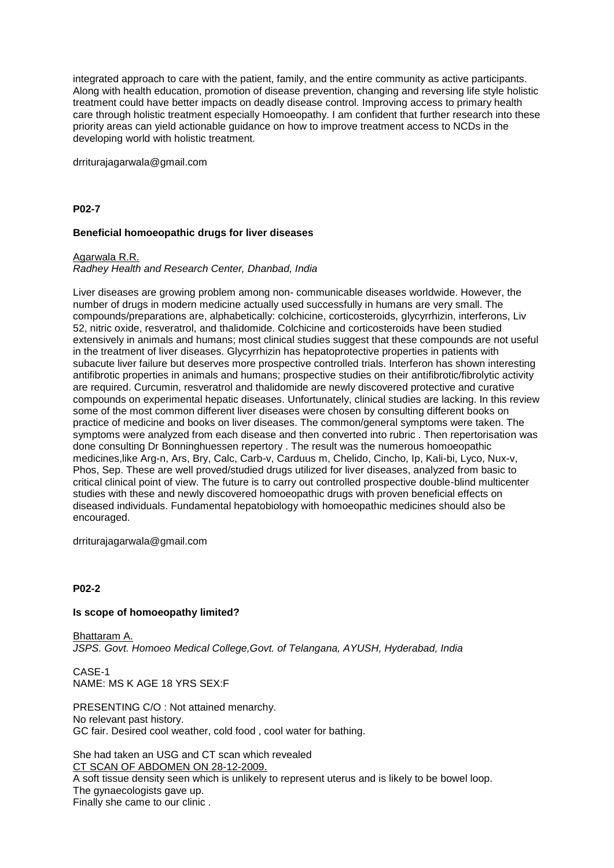integrated approach to care with the patient, family, and the entire community as active participants. Along with health education, promotion of disease prevention, changing and reversing life style holistic treatment could have better impacts on deadly disease control. Improving access to primary health care through holistic treatment especially Homoeopathy. I am confident that further research into these priority areas can yield actionable guidance on how to improve treatment access to NCDs in the developing world with holistic treatment.

drriturajagarwala@gmail.com

## **P02-7**

## **Beneficial homoeopathic drugs for liver diseases**

#### Agarwala R.R.

## *Radhey Health and Research Center, Dhanbad, India*

Liver diseases are growing problem among non- communicable diseases worldwide. However, the number of drugs in modern medicine actually used successfully in humans are very small. The compounds/preparations are, alphabetically: colchicine, corticosteroids, glycyrrhizin, interferons, Liv 52, nitric oxide, resveratrol, and thalidomide. Colchicine and corticosteroids have been studied extensively in animals and humans; most clinical studies suggest that these compounds are not useful in the treatment of liver diseases. Glycyrrhizin has hepatoprotective properties in patients with subacute liver failure but deserves more prospective controlled trials. Interferon has shown interesting antifibrotic properties in animals and humans; prospective studies on their antifibrotic/fibrolytic activity are required. Curcumin, resveratrol and thalidomide are newly discovered protective and curative compounds on experimental hepatic diseases. Unfortunately, clinical studies are lacking. In this review some of the most common different liver diseases were chosen by consulting different books on practice of medicine and books on liver diseases. The common/general symptoms were taken. The symptoms were analyzed from each disease and then converted into rubric . Then repertorisation was done consulting Dr Bonninghuessen repertory . The result was the numerous homoeopathic medicines,like Arg-n, Ars, Bry, Calc, Carb-v, Carduus m, Chelido, Cincho, Ip, Kali-bi, Lyco, Nux-v, Phos, Sep. These are well proved/studied drugs utilized for liver diseases, analyzed from basic to critical clinical point of view. The future is to carry out controlled prospective double-blind multicenter studies with these and newly discovered homoeopathic drugs with proven beneficial effects on diseased individuals. Fundamental hepatobiology with homoeopathic medicines should also be encouraged.

drriturajagarwala@gmail.com

## **P02-2**

#### **Is scope of homoeopathy limited?**

Bhattaram A. *JSPS. Govt. Homoeo Medical College,Govt. of Telangana, AYUSH, Hyderabad, India*

CASE-1 NAME: MS K AGE 18 YRS SEX:F

PRESENTING C/O : Not attained menarchy. No relevant past history. GC fair. Desired cool weather, cold food , cool water for bathing.

She had taken an USG and CT scan which revealed CT SCAN OF ABDOMEN ON 28-12-2009.

A soft tissue density seen which is unlikely to represent uterus and is likely to be bowel loop. The gynaecologists gave up. Finally she came to our clinic .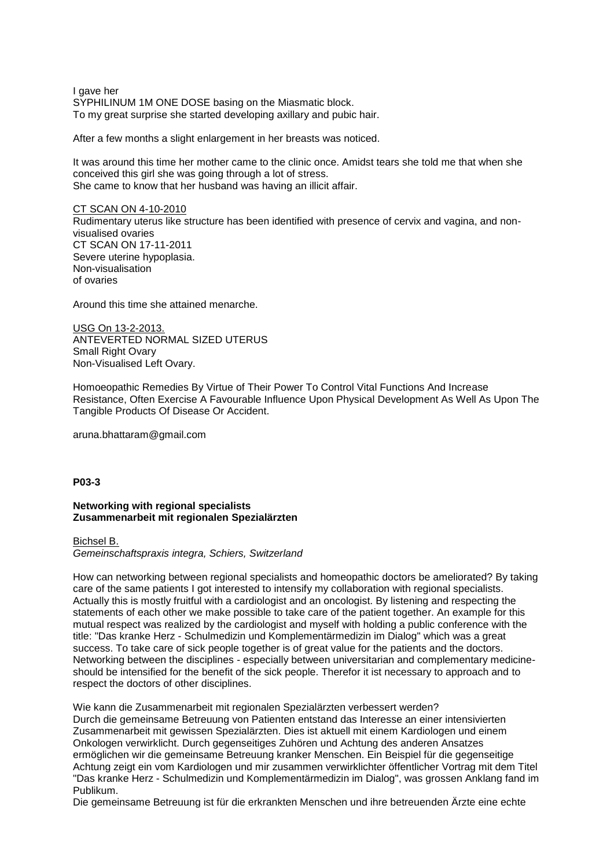I gave her SYPHILINUM 1M ONE DOSE basing on the Miasmatic block. To my great surprise she started developing axillary and pubic hair.

After a few months a slight enlargement in her breasts was noticed.

It was around this time her mother came to the clinic once. Amidst tears she told me that when she conceived this girl she was going through a lot of stress. She came to know that her husband was having an illicit affair.

#### CT SCAN ON 4-10-2010

Rudimentary uterus like structure has been identified with presence of cervix and vagina, and nonvisualised ovaries CT SCAN ON 17-11-2011 Severe uterine hypoplasia. Non-visualisation of ovaries

Around this time she attained menarche.

USG On 13-2-2013. ANTEVERTED NORMAL SIZED UTERUS Small Right Ovary Non-Visualised Left Ovary.

Homoeopathic Remedies By Virtue of Their Power To Control Vital Functions And Increase Resistance, Often Exercise A Favourable Influence Upon Physical Development As Well As Upon The Tangible Products Of Disease Or Accident.

aruna.bhattaram@gmail.com

## **P03-3**

## **Networking with regional specialists Zusammenarbeit mit regionalen Spezialärzten**

#### Bichsel B.

*Gemeinschaftspraxis integra, Schiers, Switzerland*

How can networking between regional specialists and homeopathic doctors be ameliorated? By taking care of the same patients I got interested to intensify my collaboration with regional specialists. Actually this is mostly fruitful with a cardiologist and an oncologist. By listening and respecting the statements of each other we make possible to take care of the patient together. An example for this mutual respect was realized by the cardiologist and myself with holding a public conference with the title: "Das kranke Herz - Schulmedizin und Komplementärmedizin im Dialog" which was a great success. To take care of sick people together is of great value for the patients and the doctors. Networking between the disciplines - especially between universitarian and complementary medicineshould be intensified for the benefit of the sick people. Therefor it ist necessary to approach and to respect the doctors of other disciplines.

Wie kann die Zusammenarbeit mit regionalen Spezialärzten verbessert werden? Durch die gemeinsame Betreuung von Patienten entstand das Interesse an einer intensivierten Zusammenarbeit mit gewissen Spezialärzten. Dies ist aktuell mit einem Kardiologen und einem Onkologen verwirklicht. Durch gegenseitiges Zuhören und Achtung des anderen Ansatzes ermöglichen wir die gemeinsame Betreuung kranker Menschen. Ein Beispiel für die gegenseitige Achtung zeigt ein vom Kardiologen und mir zusammen verwirklichter öffentlicher Vortrag mit dem Titel "Das kranke Herz - Schulmedizin und Komplementärmedizin im Dialog", was grossen Anklang fand im Publikum.

Die gemeinsame Betreuung ist für die erkrankten Menschen und ihre betreuenden Ärzte eine echte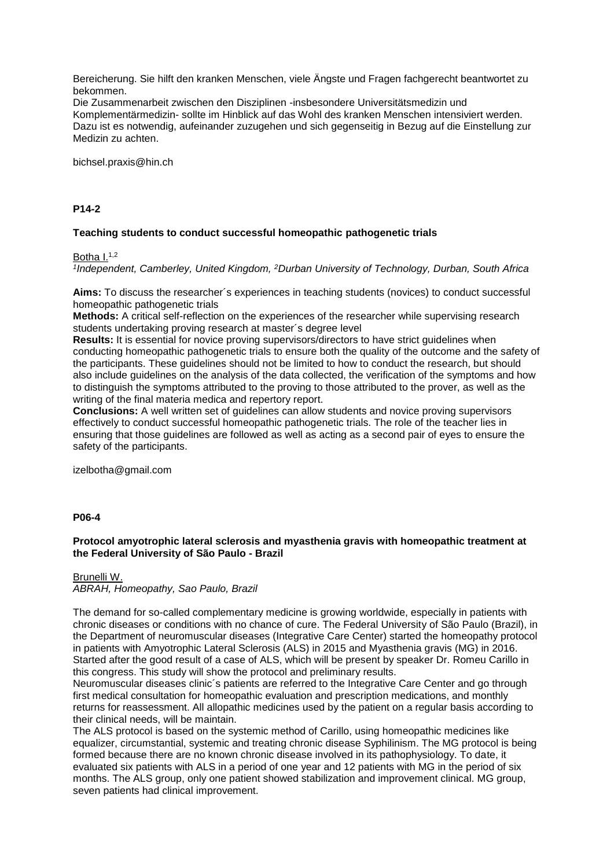Bereicherung. Sie hilft den kranken Menschen, viele Ängste und Fragen fachgerecht beantwortet zu bekommen.

Die Zusammenarbeit zwischen den Disziplinen -insbesondere Universitätsmedizin und Komplementärmedizin- sollte im Hinblick auf das Wohl des kranken Menschen intensiviert werden. Dazu ist es notwendig, aufeinander zuzugehen und sich gegenseitig in Bezug auf die Einstellung zur Medizin zu achten.

bichsel.praxis@hin.ch

## **P14-2**

# **Teaching students to conduct successful homeopathic pathogenetic trials**

Botha  $I^{1,2}$ 

*1 Independent, Camberley, United Kingdom, <sup>2</sup>Durban University of Technology, Durban, South Africa*

**Aims:** To discuss the researcher´s experiences in teaching students (novices) to conduct successful homeopathic pathogenetic trials

**Methods:** A critical self-reflection on the experiences of the researcher while supervising research students undertaking proving research at master´s degree level

**Results:** It is essential for novice proving supervisors/directors to have strict guidelines when conducting homeopathic pathogenetic trials to ensure both the quality of the outcome and the safety of the participants. These guidelines should not be limited to how to conduct the research, but should also include guidelines on the analysis of the data collected, the verification of the symptoms and how to distinguish the symptoms attributed to the proving to those attributed to the prover, as well as the writing of the final materia medica and repertory report.

**Conclusions:** A well written set of guidelines can allow students and novice proving supervisors effectively to conduct successful homeopathic pathogenetic trials. The role of the teacher lies in ensuring that those guidelines are followed as well as acting as a second pair of eyes to ensure the safety of the participants.

izelbotha@gmail.com

## **P06-4**

# **Protocol amyotrophic lateral sclerosis and myasthenia gravis with homeopathic treatment at the Federal University of São Paulo - Brazil**

Brunelli W. *ABRAH, Homeopathy, Sao Paulo, Brazil*

The demand for so-called complementary medicine is growing worldwide, especially in patients with chronic diseases or conditions with no chance of cure. The Federal University of São Paulo (Brazil), in the Department of neuromuscular diseases (Integrative Care Center) started the homeopathy protocol in patients with Amyotrophic Lateral Sclerosis (ALS) in 2015 and Myasthenia gravis (MG) in 2016. Started after the good result of a case of ALS, which will be present by speaker Dr. Romeu Carillo in this congress. This study will show the protocol and preliminary results.

Neuromuscular diseases clinic´s patients are referred to the Integrative Care Center and go through first medical consultation for homeopathic evaluation and prescription medications, and monthly returns for reassessment. All allopathic medicines used by the patient on a regular basis according to their clinical needs, will be maintain.

The ALS protocol is based on the systemic method of Carillo, using homeopathic medicines like equalizer, circumstantial, systemic and treating chronic disease Syphilinism. The MG protocol is being formed because there are no known chronic disease involved in its pathophysiology. To date, it evaluated six patients with ALS in a period of one year and 12 patients with MG in the period of six months. The ALS group, only one patient showed stabilization and improvement clinical. MG group, seven patients had clinical improvement.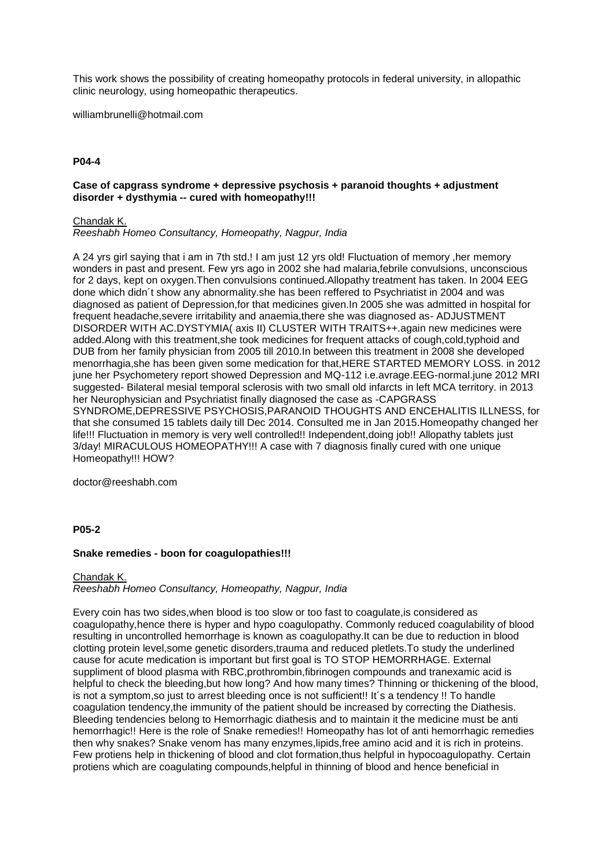This work shows the possibility of creating homeopathy protocols in federal university, in allopathic clinic neurology, using homeopathic therapeutics.

williambrunelli@hotmail.com

# **P04-4**

## **Case of capgrass syndrome + depressive psychosis + paranoid thoughts + adjustment disorder + dysthymia -- cured with homeopathy!!!**

Chandak K.

*Reeshabh Homeo Consultancy, Homeopathy, Nagpur, India*

A 24 yrs girl saying that i am in 7th std.! I am just 12 yrs old! Fluctuation of memory ,her memory wonders in past and present. Few yrs ago in 2002 she had malaria,febrile convulsions, unconscious for 2 days, kept on oxygen.Then convulsions continued.Allopathy treatment has taken. In 2004 EEG done which didn´t show any abnormality.she has been reffered to Psychriatist in 2004 and was diagnosed as patient of Depression,for that medicines given.In 2005 she was admitted in hospital for frequent headache,severe irritability and anaemia,there she was diagnosed as- ADJUSTMENT DISORDER WITH AC.DYSTYMIA( axis II) CLUSTER WITH TRAITS++.again new medicines were added.Along with this treatment,she took medicines for frequent attacks of cough,cold,typhoid and DUB from her family physician from 2005 till 2010.In between this treatment in 2008 she developed menorrhagia,she has been given some medication for that,HERE STARTED MEMORY LOSS. in 2012 june her Psychometery report showed Depression and MQ-112 i.e.avrage.EEG-normal.june 2012 MRI suggested- Bilateral mesial temporal sclerosis with two small old infarcts in left MCA territory. in 2013 her Neurophysician and Psychriatist finally diagnosed the case as -CAPGRASS SYNDROME,DEPRESSIVE PSYCHOSIS,PARANOID THOUGHTS AND ENCEHALITIS ILLNESS, for that she consumed 15 tablets daily till Dec 2014. Consulted me in Jan 2015.Homeopathy changed her life!!! Fluctuation in memory is very well controlled!! Independent,doing job!! Allopathy tablets just 3/day! MIRACULOUS HOMEOPATHY!!! A case with 7 diagnosis finally cured with one unique Homeopathy!!! HOW?

doctor@reeshabh.com

## **P05-2**

## **Snake remedies - boon for coagulopathies!!!**

# Chandak K. *Reeshabh Homeo Consultancy, Homeopathy, Nagpur, India*

Every coin has two sides,when blood is too slow or too fast to coagulate,is considered as coagulopathy,hence there is hyper and hypo coagulopathy. Commonly reduced coagulability of blood resulting in uncontrolled hemorrhage is known as coagulopathy.It can be due to reduction in blood clotting protein level,some genetic disorders,trauma and reduced pletlets.To study the underlined cause for acute medication is important but first goal is TO STOP HEMORRHAGE. External suppliment of blood plasma with RBC,prothrombin,fibrinogen compounds and tranexamic acid is helpful to check the bleeding,but how long? And how many times? Thinning or thickening of the blood, is not a symptom, so just to arrest bleeding once is not sufficient!! It's a tendency !! To handle coagulation tendency,the immunity of the patient should be increased by correcting the Diathesis. Bleeding tendencies belong to Hemorrhagic diathesis and to maintain it the medicine must be anti hemorrhagic!! Here is the role of Snake remedies!! Homeopathy has lot of anti hemorrhagic remedies then why snakes? Snake venom has many enzymes,lipids,free amino acid and it is rich in proteins. Few protiens help in thickening of blood and clot formation,thus helpful in hypocoagulopathy. Certain protiens which are coagulating compounds,helpful in thinning of blood and hence beneficial in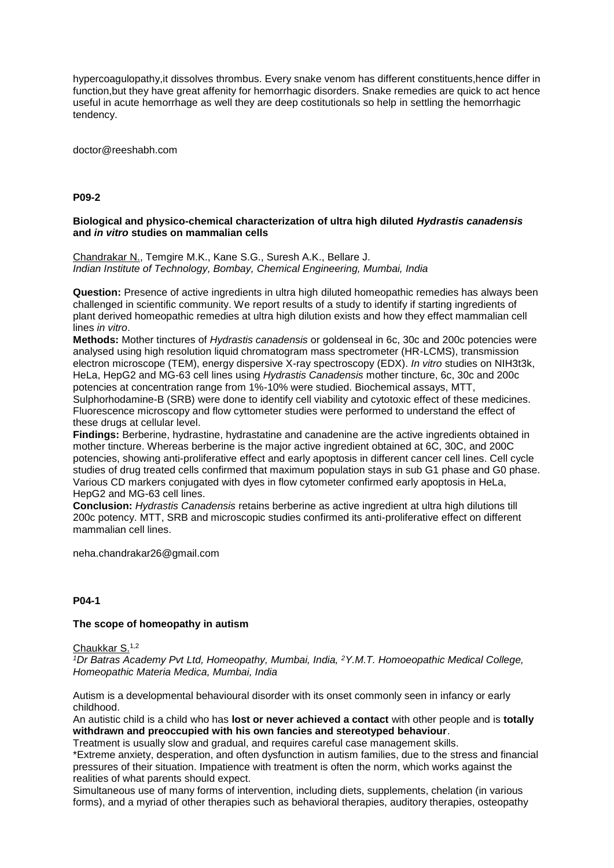hypercoagulopathy,it dissolves thrombus. Every snake venom has different constituents,hence differ in function,but they have great affenity for hemorrhagic disorders. Snake remedies are quick to act hence useful in acute hemorrhage as well they are deep costitutionals so help in settling the hemorrhagic tendency.

doctor@reeshabh.com

# **P09-2**

## **Biological and physico-chemical characterization of ultra high diluted** *Hydrastis canadensis* **and** *in vitro* **studies on mammalian cells**

Chandrakar N., Temgire M.K., Kane S.G., Suresh A.K., Bellare J. *Indian Institute of Technology, Bombay, Chemical Engineering, Mumbai, India*

**Question:** Presence of active ingredients in ultra high diluted homeopathic remedies has always been challenged in scientific community. We report results of a study to identify if starting ingredients of plant derived homeopathic remedies at ultra high dilution exists and how they effect mammalian cell lines *in vitro*.

**Methods:** Mother tinctures of *Hydrastis canadensis* or goldenseal in 6c, 30c and 200c potencies were analysed using high resolution liquid chromatogram mass spectrometer (HR-LCMS), transmission electron microscope (TEM), energy dispersive X-ray spectroscopy (EDX). *In vitro* studies on NIH3t3k, HeLa, HepG2 and MG-63 cell lines using *Hydrastis Canadensis* mother tincture, 6c, 30c and 200c potencies at concentration range from 1%-10% were studied. Biochemical assays, MTT, Sulphorhodamine-B (SRB) were done to identify cell viability and cytotoxic effect of these medicines. Fluorescence microscopy and flow cyttometer studies were performed to understand the effect of these drugs at cellular level.

**Findings:** Berberine, hydrastine, hydrastatine and canadenine are the active ingredients obtained in mother tincture. Whereas berberine is the major active ingredient obtained at 6C, 30C, and 200C potencies, showing anti-proliferative effect and early apoptosis in different cancer cell lines. Cell cycle studies of drug treated cells confirmed that maximum population stays in sub G1 phase and G0 phase. Various CD markers conjugated with dyes in flow cytometer confirmed early apoptosis in HeLa, HepG2 and MG-63 cell lines.

**Conclusion:** *Hydrastis Canadensis* retains berberine as active ingredient at ultra high dilutions till 200c potency. MTT, SRB and microscopic studies confirmed its anti-proliferative effect on different mammalian cell lines.

neha.chandrakar26@gmail.com

## **P04-1**

## **The scope of homeopathy in autism**

Chaukkar S.1,2

*<sup>1</sup>Dr Batras Academy Pvt Ltd, Homeopathy, Mumbai, India, <sup>2</sup>Y.M.T. Homoeopathic Medical College, Homeopathic Materia Medica, Mumbai, India*

Autism is a developmental behavioural disorder with its onset commonly seen in infancy or early childhood.

An autistic child is a child who has **lost or never achieved a contact** with other people and is **totally withdrawn and preoccupied with his own fancies and stereotyped behaviour**.

Treatment is usually slow and gradual, and requires careful case management skills.

\*Extreme anxiety, desperation, and often dysfunction in autism families, due to the stress and financial pressures of their situation. Impatience with treatment is often the norm, which works against the realities of what parents should expect.

Simultaneous use of many forms of intervention, including diets, supplements, chelation (in various forms), and a myriad of other therapies such as behavioral therapies, auditory therapies, osteopathy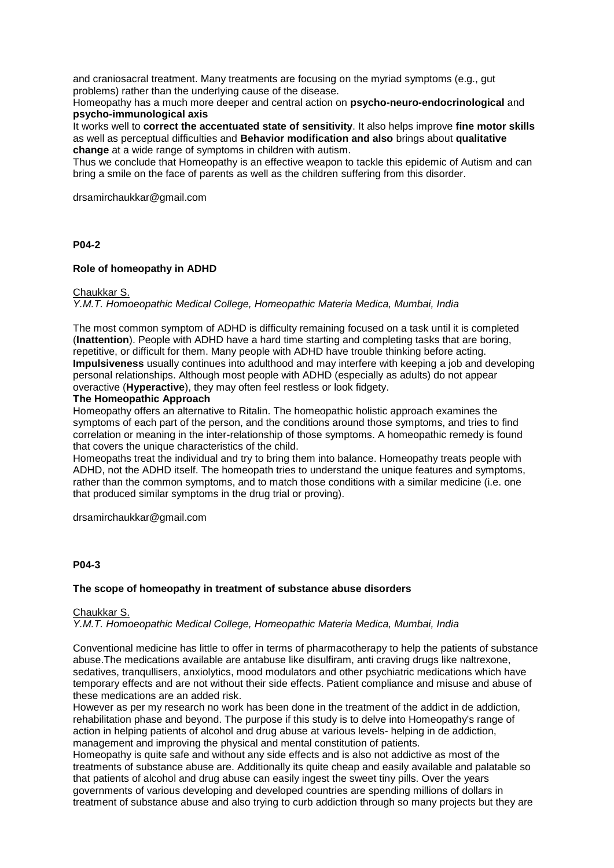and craniosacral treatment. Many treatments are focusing on the myriad symptoms (e.g., gut problems) rather than the underlying cause of the disease.

Homeopathy has a much more deeper and central action on **psycho-neuro-endocrinological** and **psycho-immunological axis**

It works well to **correct the accentuated state of sensitivity**. It also helps improve **fine motor skills**  as well as perceptual difficulties and **Behavior modification and also** brings about **qualitative change** at a wide range of symptoms in children with autism.

Thus we conclude that Homeopathy is an effective weapon to tackle this epidemic of Autism and can bring a smile on the face of parents as well as the children suffering from this disorder.

drsamirchaukkar@gmail.com

## **P04-2**

## **Role of homeopathy in ADHD**

Chaukkar S.

*Y.M.T. Homoeopathic Medical College, Homeopathic Materia Medica, Mumbai, India*

The most common symptom of ADHD is difficulty remaining focused on a task until it is completed (**Inattention**). People with ADHD have a hard time starting and completing tasks that are boring, repetitive, or difficult for them. Many people with ADHD have trouble thinking before acting. **Impulsiveness** usually continues into adulthood and may interfere with keeping a job and developing personal relationships. Although most people with ADHD (especially as adults) do not appear overactive (**Hyperactive**), they may often feel restless or look fidgety.

#### **The Homeopathic Approach**

Homeopathy offers an alternative to Ritalin. The homeopathic holistic approach examines the symptoms of each part of the person, and the conditions around those symptoms, and tries to find correlation or meaning in the inter-relationship of those symptoms. A homeopathic remedy is found that covers the unique characteristics of the child.

Homeopaths treat the individual and try to bring them into balance. Homeopathy treats people with ADHD, not the ADHD itself. The homeopath tries to understand the unique features and symptoms, rather than the common symptoms, and to match those conditions with a similar medicine (i.e. one that produced similar symptoms in the drug trial or proving).

drsamirchaukkar@gmail.com

## **P04-3**

## **The scope of homeopathy in treatment of substance abuse disorders**

#### Chaukkar S.

*Y.M.T. Homoeopathic Medical College, Homeopathic Materia Medica, Mumbai, India*

Conventional medicine has little to offer in terms of pharmacotherapy to help the patients of substance abuse.The medications available are antabuse like disulfiram, anti craving drugs like naltrexone, sedatives, tranqullisers, anxiolytics, mood modulators and other psychiatric medications which have temporary effects and are not without their side effects. Patient compliance and misuse and abuse of these medications are an added risk.

However as per my research no work has been done in the treatment of the addict in de addiction, rehabilitation phase and beyond. The purpose if this study is to delve into Homeopathy's range of action in helping patients of alcohol and drug abuse at various levels- helping in de addiction, management and improving the physical and mental constitution of patients.

Homeopathy is quite safe and without any side effects and is also not addictive as most of the treatments of substance abuse are. Additionally its quite cheap and easily available and palatable so that patients of alcohol and drug abuse can easily ingest the sweet tiny pills. Over the years governments of various developing and developed countries are spending millions of dollars in treatment of substance abuse and also trying to curb addiction through so many projects but they are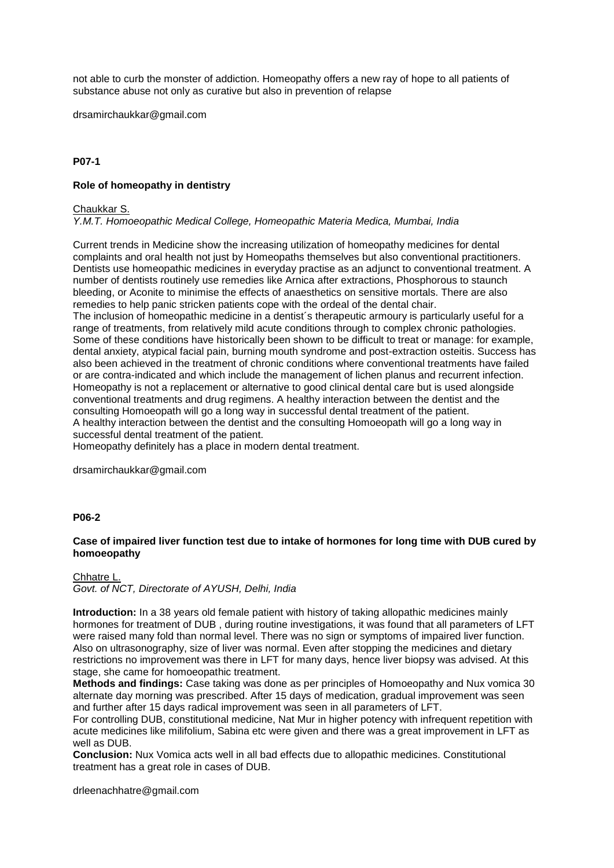not able to curb the monster of addiction. Homeopathy offers a new ray of hope to all patients of substance abuse not only as curative but also in prevention of relapse

drsamirchaukkar@gmail.com

# **P07-1**

# **Role of homeopathy in dentistry**

#### Chaukkar S.

*Y.M.T. Homoeopathic Medical College, Homeopathic Materia Medica, Mumbai, India*

Current trends in Medicine show the increasing utilization of homeopathy medicines for dental complaints and oral health not just by Homeopaths themselves but also conventional practitioners. Dentists use homeopathic medicines in everyday practise as an adjunct to conventional treatment. A number of dentists routinely use remedies like Arnica after extractions, Phosphorous to staunch bleeding, or Aconite to minimise the effects of anaesthetics on sensitive mortals. There are also remedies to help panic stricken patients cope with the ordeal of the dental chair. The inclusion of homeopathic medicine in a dentist's therapeutic armoury is particularly useful for a range of treatments, from relatively mild acute conditions through to complex chronic pathologies. Some of these conditions have historically been shown to be difficult to treat or manage: for example, dental anxiety, atypical facial pain, burning mouth syndrome and post-extraction osteitis. Success has also been achieved in the treatment of chronic conditions where conventional treatments have failed or are contra-indicated and which include the management of lichen planus and recurrent infection. Homeopathy is not a replacement or alternative to good clinical dental care but is used alongside conventional treatments and drug regimens. A healthy interaction between the dentist and the consulting Homoeopath will go a long way in successful dental treatment of the patient. A healthy interaction between the dentist and the consulting Homoeopath will go a long way in successful dental treatment of the patient.

Homeopathy definitely has a place in modern dental treatment.

drsamirchaukkar@gmail.com

## **P06-2**

# **Case of impaired liver function test due to intake of hormones for long time with DUB cured by homoeopathy**

Chhatre L. *Govt. of NCT, Directorate of AYUSH, Delhi, India*

**Introduction:** In a 38 years old female patient with history of taking allopathic medicines mainly hormones for treatment of DUB , during routine investigations, it was found that all parameters of LFT were raised many fold than normal level. There was no sign or symptoms of impaired liver function. Also on ultrasonography, size of liver was normal. Even after stopping the medicines and dietary restrictions no improvement was there in LFT for many days, hence liver biopsy was advised. At this stage, she came for homoeopathic treatment.

**Methods and findings:** Case taking was done as per principles of Homoeopathy and Nux vomica 30 alternate day morning was prescribed. After 15 days of medication, gradual improvement was seen and further after 15 days radical improvement was seen in all parameters of LFT.

For controlling DUB, constitutional medicine, Nat Mur in higher potency with infrequent repetition with acute medicines like milifolium, Sabina etc were given and there was a great improvement in LFT as well as DUB.

**Conclusion:** Nux Vomica acts well in all bad effects due to allopathic medicines. Constitutional treatment has a great role in cases of DUB.

drleenachhatre@gmail.com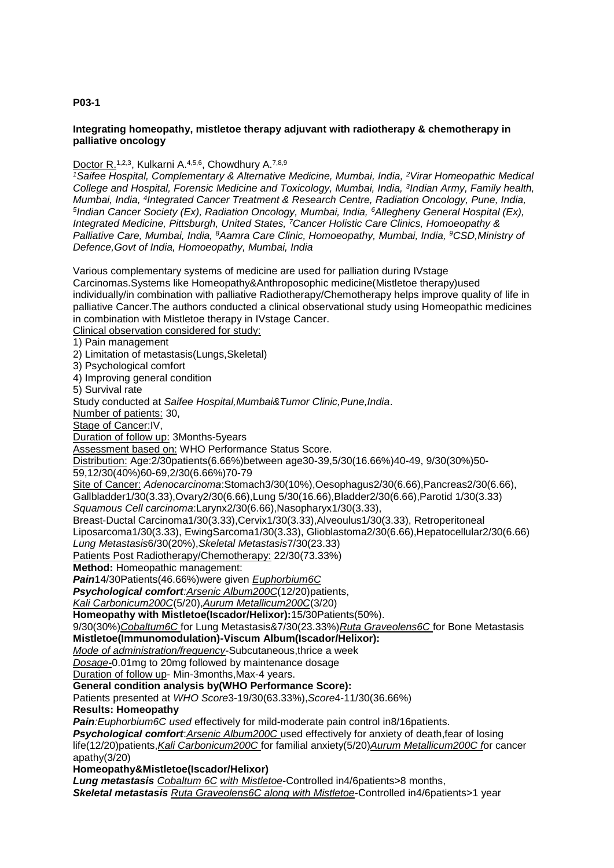# **P03-1**

## **Integrating homeopathy, mistletoe therapy adjuvant with radiotherapy & chemotherapy in palliative oncology**

# Doctor R.<sup>1,2,3</sup>, Kulkarni A.<sup>4,5,6</sup>, Chowdhury A.<sup>7,8,9</sup>

*<sup>1</sup>Saifee Hospital, Complementary & Alternative Medicine, Mumbai, India, <sup>2</sup>Virar Homeopathic Medical College and Hospital, Forensic Medicine and Toxicology, Mumbai, India, <sup>3</sup> Indian Army, Family health, Mumbai, India, <sup>4</sup> Integrated Cancer Treatment & Research Centre, Radiation Oncology, Pune, India, 5 Indian Cancer Society (Ex), Radiation Oncology, Mumbai, India, <sup>6</sup>Allegheny General Hospital (Ex), Integrated Medicine, Pittsburgh, United States, <sup>7</sup>Cancer Holistic Care Clinics, Homoeopathy & Palliative Care, Mumbai, India, <sup>8</sup>Aamra Care Clinic, Homoeopathy, Mumbai, India, <sup>9</sup>CSD,Ministry of Defence,Govt of India, Homoeopathy, Mumbai, India*

Various complementary systems of medicine are used for palliation during IVstage Carcinomas.Systems like Homeopathy&Anthroposophic medicine(Mistletoe therapy)used individually/in combination with palliative Radiotherapy/Chemotherapy helps improve quality of life in palliative Cancer.The authors conducted a clinical observational study using Homeopathic medicines in combination with Mistletoe therapy in IVstage Cancer. Clinical observation considered for study: 1) Pain management 2) Limitation of metastasis(Lungs,Skeletal) 3) Psychological comfort 4) Improving general condition 5) Survival rate Study conducted at *Saifee Hospital,Mumbai&Tumor Clinic,Pune,India*. Number of patients: 30, Stage of Cancer:IV, Duration of follow up: 3Months-5years Assessment based on: WHO Performance Status Score. Distribution: Age:2/30patients(6.66%)between age30-39,5/30(16.66%)40-49, 9/30(30%)50- 59,12/30(40%)60-69,2/30(6.66%)70-79 Site of Cancer: *Adenocarcinoma*:Stomach3/30(10%),Oesophagus2/30(6.66),Pancreas2/30(6.66), Gallbladder1/30(3.33),Ovary2/30(6.66),Lung 5/30(16.66),Bladder2/30(6.66),Parotid 1/30(3.33) *Squamous Cell carcinoma*:Larynx2/30(6.66),Nasopharyx1/30(3.33), Breast-Ductal Carcinoma1/30(3.33),Cervix1/30(3.33),Alveoulus1/30(3.33), Retroperitoneal Liposarcoma1/30(3.33), EwingSarcoma1/30(3.33), Glioblastoma2/30(6.66),Hepatocellular2/30(6.66) *Lung Metastasis*6/30(20%),*Skeletal Metastasis*7/30(23.33) Patients Post Radiotherapy/Chemotherapy: 22/30(73.33%) **Method:** Homeopathic management: *Pain*14/30Patients(46.66%)were given *Euphorbium6C Psychological comfort:Arsenic Album200C*(12/20)patients, *Kali Carbonicum200C*(5/20),*Aurum Metallicum200C*(3/20) **Homeopathy with Mistletoe(Iscador/Helixor):**15/30Patients(50%). 9/30(30%)*Cobaltum6C* for Lung Metastasis&7/30(23.33%)*Ruta Graveolens6C* for Bone Metastasis **Mistletoe(Immunomodulation)-Viscum Album(Iscador/Helixor):** *Mode of administration/frequency*-Subcutaneous,thrice a week *Dosage-*0.01mg to 20mg followed by maintenance dosage Duration of follow up- Min-3months,Max-4 years. **General condition analysis by(WHO Performance Score):** Patients presented at *WHO Score*3-19/30(63.33%),*Score*4-11/30(36.66%) **Results: Homeopathy** *Pain:Euphorbium6C used* effectively for mild-moderate pain control in8/16patients. *Psychological comfort*:*Arsenic Album200C* used effectively for anxiety of death,fear of losing life(12/20)patients,*Kali Carbonicum200C* for familial anxiety(5/20)*Aurum Metallicum200C f*or cancer apathy(3/20) **Homeopathy&Mistletoe(Iscador/Helixor)** *Lung metastasis Cobaltum 6C with Mistletoe*-Controlled in4/6patients>8 months,

*Skeletal metastasis Ruta Graveolens6C along with Mistletoe*-Controlled in4/6patients>1 year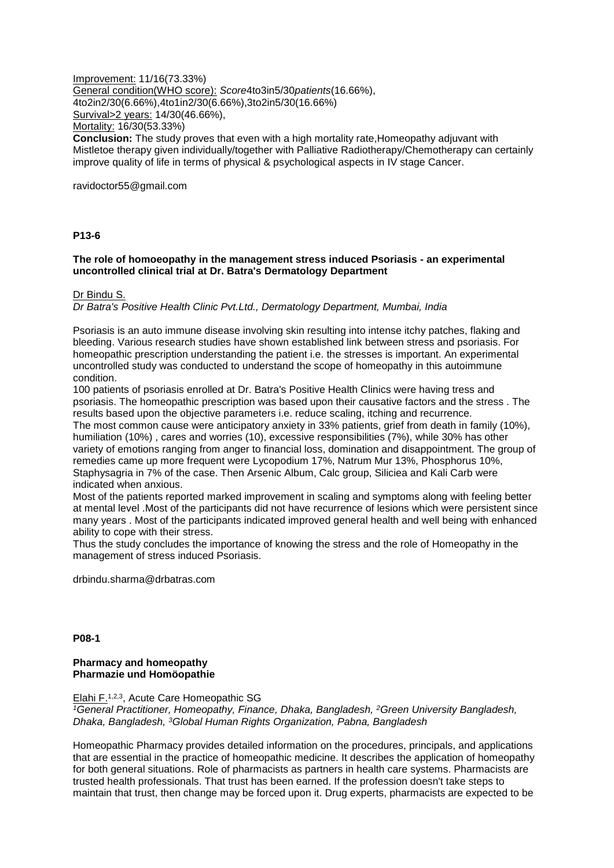Improvement: 11/16(73.33%) General condition(WHO score): *Score*4to3in5/30*patients*(16.66%), 4to2in2/30(6.66%),4to1in2/30(6.66%),3to2in5/30(16.66%) Survival>2 years: 14/30(46.66%), Mortality: 16/30(53.33%) **Conclusion:** The study proves that even with a high mortality rate,Homeopathy adjuvant with Mistletoe therapy given individually/together with Palliative Radiotherapy/Chemotherapy can certainly improve quality of life in terms of physical & psychological aspects in IV stage Cancer.

ravidoctor55@gmail.com

#### **P13-6**

## **The role of homoeopathy in the management stress induced Psoriasis - an experimental uncontrolled clinical trial at Dr. Batra's Dermatology Department**

#### Dr Bindu S.

*Dr Batra's Positive Health Clinic Pvt.Ltd., Dermatology Department, Mumbai, India*

Psoriasis is an auto immune disease involving skin resulting into intense itchy patches, flaking and bleeding. Various research studies have shown established link between stress and psoriasis. For homeopathic prescription understanding the patient i.e. the stresses is important. An experimental uncontrolled study was conducted to understand the scope of homeopathy in this autoimmune condition.

100 patients of psoriasis enrolled at Dr. Batra's Positive Health Clinics were having tress and psoriasis. The homeopathic prescription was based upon their causative factors and the stress . The results based upon the objective parameters i.e. reduce scaling, itching and recurrence. The most common cause were anticipatory anxiety in 33% patients, grief from death in family (10%), humiliation (10%) , cares and worries (10), excessive responsibilities (7%), while 30% has other variety of emotions ranging from anger to financial loss, domination and disappointment. The group of remedies came up more frequent were Lycopodium 17%, Natrum Mur 13%, Phosphorus 10%, Staphysagria in 7% of the case. Then Arsenic Album, Calc group, Siliciea and Kali Carb were indicated when anxious.

Most of the patients reported marked improvement in scaling and symptoms along with feeling better at mental level .Most of the participants did not have recurrence of lesions which were persistent since many years . Most of the participants indicated improved general health and well being with enhanced ability to cope with their stress.

Thus the study concludes the importance of knowing the stress and the role of Homeopathy in the management of stress induced Psoriasis.

drbindu.sharma@drbatras.com

**P08-1**

#### **Pharmacy and homeopathy Pharmazie und Homöopathie**

Elahi F.1,2,3, Acute Care Homeopathic SG

*<sup>1</sup>General Practitioner, Homeopathy, Finance, Dhaka, Bangladesh, <sup>2</sup>Green University Bangladesh, Dhaka, Bangladesh, <sup>3</sup>Global Human Rights Organization, Pabna, Bangladesh*

Homeopathic Pharmacy provides detailed information on the procedures, principals, and applications that are essential in the practice of homeopathic medicine. It describes the application of homeopathy for both general situations. Role of pharmacists as partners in health care systems. Pharmacists are trusted health professionals. That trust has been earned. If the profession doesn't take steps to maintain that trust, then change may be forced upon it. Drug experts, pharmacists are expected to be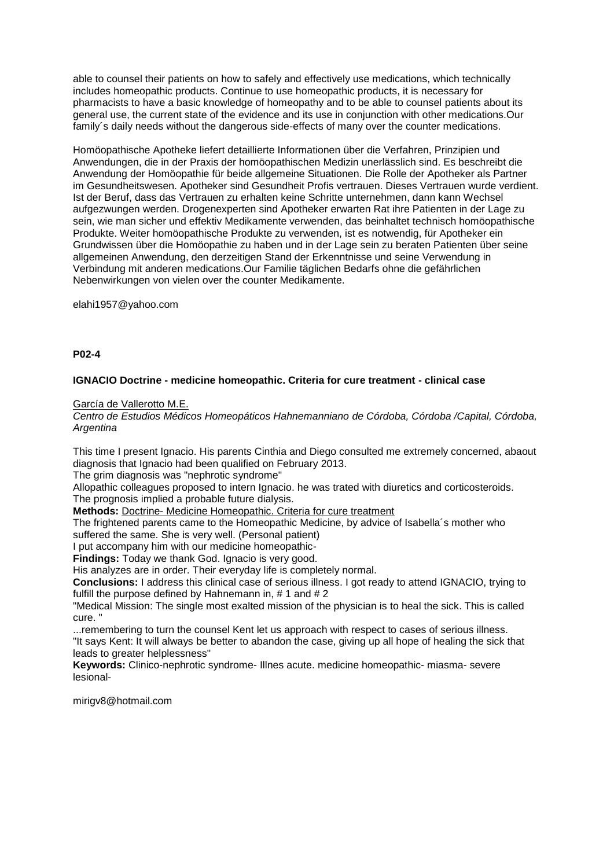able to counsel their patients on how to safely and effectively use medications, which technically includes homeopathic products. Continue to use homeopathic products, it is necessary for pharmacists to have a basic knowledge of homeopathy and to be able to counsel patients about its general use, the current state of the evidence and its use in conjunction with other medications.Our family´s daily needs without the dangerous side-effects of many over the counter medications.

Homöopathische Apotheke liefert detaillierte Informationen über die Verfahren, Prinzipien und Anwendungen, die in der Praxis der homöopathischen Medizin unerlässlich sind. Es beschreibt die Anwendung der Homöopathie für beide allgemeine Situationen. Die Rolle der Apotheker als Partner im Gesundheitswesen. Apotheker sind Gesundheit Profis vertrauen. Dieses Vertrauen wurde verdient. Ist der Beruf, dass das Vertrauen zu erhalten keine Schritte unternehmen, dann kann Wechsel aufgezwungen werden. Drogenexperten sind Apotheker erwarten Rat ihre Patienten in der Lage zu sein, wie man sicher und effektiv Medikamente verwenden, das beinhaltet technisch homöopathische Produkte. Weiter homöopathische Produkte zu verwenden, ist es notwendig, für Apotheker ein Grundwissen über die Homöopathie zu haben und in der Lage sein zu beraten Patienten über seine allgemeinen Anwendung, den derzeitigen Stand der Erkenntnisse und seine Verwendung in Verbindung mit anderen medications.Our Familie täglichen Bedarfs ohne die gefährlichen Nebenwirkungen von vielen over the counter Medikamente.

elahi1957@yahoo.com

#### **P02-4**

## **IGNACIO Doctrine - medicine homeopathic. Criteria for cure treatment - clinical case**

García de Vallerotto M.E.

*Centro de Estudios Médicos Homeopáticos Hahnemanniano de Córdoba, Córdoba /Capital, Córdoba, Argentina*

This time I present Ignacio. His parents Cinthia and Diego consulted me extremely concerned, abaout diagnosis that Ignacio had been qualified on February 2013.

The grim diagnosis was "nephrotic syndrome"

Allopathic colleagues proposed to intern Ignacio. he was trated with diuretics and corticosteroids. The prognosis implied a probable future dialysis.

**Methods:** Doctrine- Medicine Homeopathic. Criteria for cure treatment

The frightened parents came to the Homeopathic Medicine, by advice of Isabella´s mother who suffered the same. She is very well. (Personal patient)

I put accompany him with our medicine homeopathic-

**Findings:** Today we thank God. Ignacio is very good.

His analyzes are in order. Their everyday life is completely normal.

**Conclusions:** I address this clinical case of serious illness. I got ready to attend IGNACIO, trying to fulfill the purpose defined by Hahnemann in, #1 and #2

"Medical Mission: The single most exalted mission of the physician is to heal the sick. This is called cure. "

...remembering to turn the counsel Kent let us approach with respect to cases of serious illness.

"It says Kent: It will always be better to abandon the case, giving up all hope of healing the sick that leads to greater helplessness"

**Keywords:** Clinico-nephrotic syndrome- Illnes acute. medicine homeopathic- miasma- severe lesional-

mirigv8@hotmail.com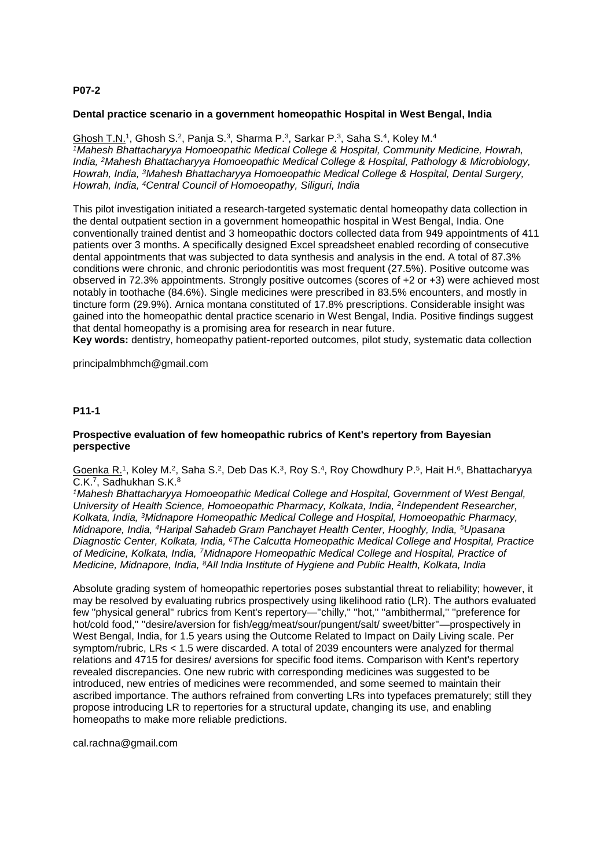# **P07-2**

#### **Dental practice scenario in a government homeopathic Hospital in West Bengal, India**

Ghosh T.N.<sup>1</sup>, Ghosh S.<sup>2</sup>, Panja S.<sup>3</sup>, Sharma P.<sup>3</sup>, Sarkar P.<sup>3</sup>, Saha S.<sup>4</sup>, Koley M.<sup>4</sup> *<sup>1</sup>Mahesh Bhattacharyya Homoeopathic Medical College & Hospital, Community Medicine, Howrah, India, <sup>2</sup>Mahesh Bhattacharyya Homoeopathic Medical College & Hospital, Pathology & Microbiology, Howrah, India, <sup>3</sup>Mahesh Bhattacharyya Homoeopathic Medical College & Hospital, Dental Surgery, Howrah, India, <sup>4</sup>Central Council of Homoeopathy, Siliguri, India*

This pilot investigation initiated a research-targeted systematic dental homeopathy data collection in the dental outpatient section in a government homeopathic hospital in West Bengal, India. One conventionally trained dentist and 3 homeopathic doctors collected data from 949 appointments of 411 patients over 3 months. A specifically designed Excel spreadsheet enabled recording of consecutive dental appointments that was subjected to data synthesis and analysis in the end. A total of 87.3% conditions were chronic, and chronic periodontitis was most frequent (27.5%). Positive outcome was observed in 72.3% appointments. Strongly positive outcomes (scores of +2 or +3) were achieved most notably in toothache (84.6%). Single medicines were prescribed in 83.5% encounters, and mostly in tincture form (29.9%). Arnica montana constituted of 17.8% prescriptions. Considerable insight was gained into the homeopathic dental practice scenario in West Bengal, India. Positive findings suggest that dental homeopathy is a promising area for research in near future.

**Key words:** dentistry, homeopathy patient-reported outcomes, pilot study, systematic data collection

principalmbhmch@gmail.com

#### **P11-1**

## **Prospective evaluation of few homeopathic rubrics of Kent's repertory from Bayesian perspective**

Goenka R.<sup>1</sup>, Koley M.<sup>2</sup>, Saha S.<sup>2</sup>, Deb Das K.<sup>3</sup>, Roy S.<sup>4</sup>, Roy Chowdhury P.<sup>5</sup>, Hait H.<sup>6</sup>, Bhattacharyya C.K.<sup>7</sup>, Sadhukhan S.K.<sup>8</sup>

*<sup>1</sup>Mahesh Bhattacharyya Homoeopathic Medical College and Hospital, Government of West Bengal,*  University of Health Science, Homoeopathic Pharmacy, Kolkata, India, <sup>2</sup>Independent Researcher, *Kolkata, India, <sup>3</sup>Midnapore Homeopathic Medical College and Hospital, Homoeopathic Pharmacy, Midnapore, India, <sup>4</sup>Haripal Sahadeb Gram Panchayet Health Center, Hooghly, India, <sup>5</sup>Upasana Diagnostic Center, Kolkata, India, <sup>6</sup>The Calcutta Homeopathic Medical College and Hospital, Practice of Medicine, Kolkata, India, <sup>7</sup>Midnapore Homeopathic Medical College and Hospital, Practice of Medicine, Midnapore, India, <sup>8</sup>All India Institute of Hygiene and Public Health, Kolkata, India*

Absolute grading system of homeopathic repertories poses substantial threat to reliability; however, it may be resolved by evaluating rubrics prospectively using likelihood ratio (LR). The authors evaluated few ''physical general'' rubrics from Kent's repertory—''chilly,'' ''hot,'' ''ambithermal,'' ''preference for hot/cold food,'' ''desire/aversion for fish/egg/meat/sour/pungent/salt/ sweet/bitter''—prospectively in West Bengal, India, for 1.5 years using the Outcome Related to Impact on Daily Living scale. Per symptom/rubric, LRs < 1.5 were discarded. A total of 2039 encounters were analyzed for thermal relations and 4715 for desires/ aversions for specific food items. Comparison with Kent's repertory revealed discrepancies. One new rubric with corresponding medicines was suggested to be introduced, new entries of medicines were recommended, and some seemed to maintain their ascribed importance. The authors refrained from converting LRs into typefaces prematurely; still they propose introducing LR to repertories for a structural update, changing its use, and enabling homeopaths to make more reliable predictions.

cal.rachna@gmail.com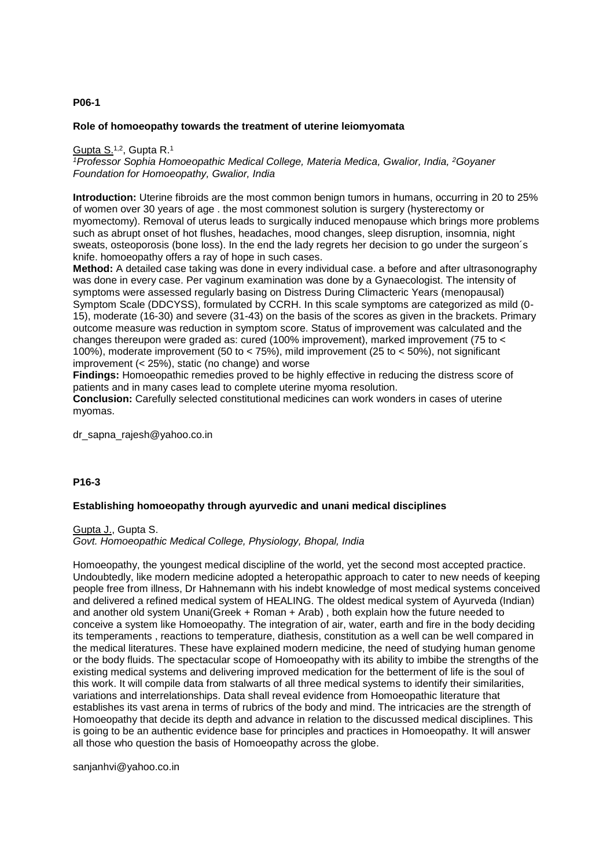## **P06-1**

#### **Role of homoeopathy towards the treatment of uterine leiomyomata**

Gupta S.1,2, Gupta R.<sup>1</sup>

*<sup>1</sup>Professor Sophia Homoeopathic Medical College, Materia Medica, Gwalior, India, <sup>2</sup>Goyaner Foundation for Homoeopathy, Gwalior, India*

**Introduction:** Uterine fibroids are the most common benign tumors in humans, occurring in 20 to 25% of women over 30 years of age . the most commonest solution is surgery (hysterectomy or myomectomy). Removal of uterus leads to surgically induced menopause which brings more problems such as abrupt onset of hot flushes, headaches, mood changes, sleep disruption, insomnia, night sweats, osteoporosis (bone loss). In the end the lady regrets her decision to go under the surgeon´s knife. homoeopathy offers a ray of hope in such cases.

**Method:** A detailed case taking was done in every individual case. a before and after ultrasonography was done in every case. Per vaginum examination was done by a Gynaecologist. The intensity of symptoms were assessed regularly basing on Distress During Climacteric Years (menopausal) Symptom Scale (DDCYSS), formulated by CCRH. In this scale symptoms are categorized as mild (0- 15), moderate (16-30) and severe (31-43) on the basis of the scores as given in the brackets. Primary outcome measure was reduction in symptom score. Status of improvement was calculated and the changes thereupon were graded as: cured (100% improvement), marked improvement (75 to < 100%), moderate improvement (50 to < 75%), mild improvement (25 to < 50%), not significant improvement (< 25%), static (no change) and worse

**Findings:** Homoeopathic remedies proved to be highly effective in reducing the distress score of patients and in many cases lead to complete uterine myoma resolution.

**Conclusion:** Carefully selected constitutional medicines can work wonders in cases of uterine myomas.

dr sapna rajesh@yahoo.co.in

## **P16-3**

#### **Establishing homoeopathy through ayurvedic and unani medical disciplines**

Gupta J., Gupta S. *Govt. Homoeopathic Medical College, Physiology, Bhopal, India*

Homoeopathy, the youngest medical discipline of the world, yet the second most accepted practice. Undoubtedly, like modern medicine adopted a heteropathic approach to cater to new needs of keeping people free from illness, Dr Hahnemann with his indebt knowledge of most medical systems conceived and delivered a refined medical system of HEALING. The oldest medical system of Ayurveda (Indian) and another old system Unani(Greek + Roman + Arab) , both explain how the future needed to conceive a system like Homoeopathy. The integration of air, water, earth and fire in the body deciding its temperaments , reactions to temperature, diathesis, constitution as a well can be well compared in the medical literatures. These have explained modern medicine, the need of studying human genome or the body fluids. The spectacular scope of Homoeopathy with its ability to imbibe the strengths of the existing medical systems and delivering improved medication for the betterment of life is the soul of this work. It will compile data from stalwarts of all three medical systems to identify their similarities, variations and interrelationships. Data shall reveal evidence from Homoeopathic literature that establishes its vast arena in terms of rubrics of the body and mind. The intricacies are the strength of Homoeopathy that decide its depth and advance in relation to the discussed medical disciplines. This is going to be an authentic evidence base for principles and practices in Homoeopathy. It will answer all those who question the basis of Homoeopathy across the globe.

sanjanhvi@yahoo.co.in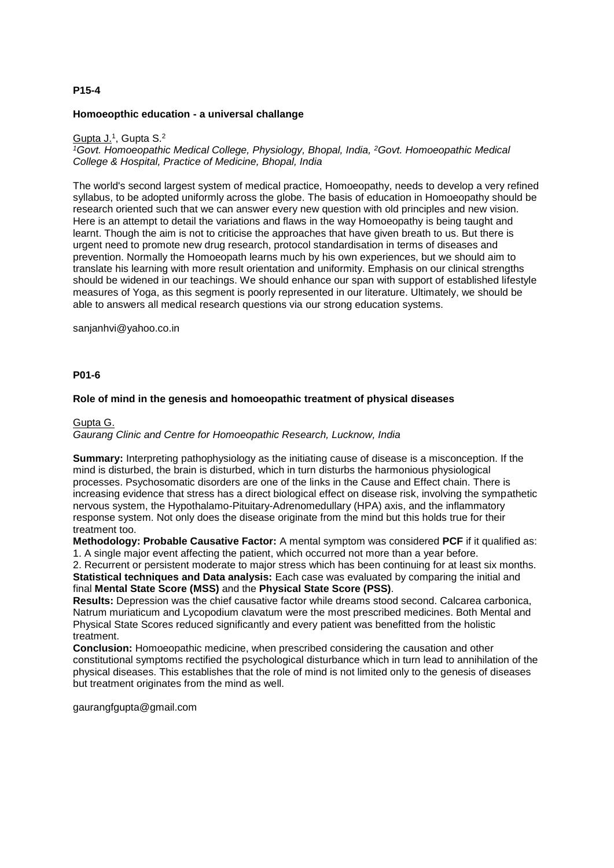## **P15-4**

#### **Homoeopthic education - a universal challange**

#### Gupta J.<sup>1</sup>, Gupta S.<sup>2</sup>

<sup>1</sup>*Govt. Homoeopathic Medical College, Physiology, Bhopal, India, <sup>2</sup><i>Govt. Homoeopathic Medical College & Hospital, Practice of Medicine, Bhopal, India*

The world's second largest system of medical practice, Homoeopathy, needs to develop a very refined syllabus, to be adopted uniformly across the globe. The basis of education in Homoeopathy should be research oriented such that we can answer every new question with old principles and new vision. Here is an attempt to detail the variations and flaws in the way Homoeopathy is being taught and learnt. Though the aim is not to criticise the approaches that have given breath to us. But there is urgent need to promote new drug research, protocol standardisation in terms of diseases and prevention. Normally the Homoeopath learns much by his own experiences, but we should aim to translate his learning with more result orientation and uniformity. Emphasis on our clinical strengths should be widened in our teachings. We should enhance our span with support of established lifestyle measures of Yoga, as this segment is poorly represented in our literature. Ultimately, we should be able to answers all medical research questions via our strong education systems.

sanjanhvi@yahoo.co.in

## **P01-6**

#### **Role of mind in the genesis and homoeopathic treatment of physical diseases**

#### Gupta G.

## *Gaurang Clinic and Centre for Homoeopathic Research, Lucknow, India*

**Summary:** Interpreting pathophysiology as the initiating cause of disease is a misconception. If the mind is disturbed, the brain is disturbed, which in turn disturbs the harmonious physiological processes. Psychosomatic disorders are one of the links in the Cause and Effect chain. There is increasing evidence that stress has a direct biological effect on disease risk, involving the sympathetic nervous system, the Hypothalamo-Pituitary-Adrenomedullary (HPA) axis, and the inflammatory response system. Not only does the disease originate from the mind but this holds true for their treatment too.

**Methodology: Probable Causative Factor:** A mental symptom was considered **PCF** if it qualified as: 1. A single major event affecting the patient, which occurred not more than a year before.

2. Recurrent or persistent moderate to major stress which has been continuing for at least six months. **Statistical techniques and Data analysis:** Each case was evaluated by comparing the initial and final **Mental State Score (MSS)** and the **Physical State Score (PSS)**.

**Results:** Depression was the chief causative factor while dreams stood second. Calcarea carbonica, Natrum muriaticum and Lycopodium clavatum were the most prescribed medicines. Both Mental and Physical State Scores reduced significantly and every patient was benefitted from the holistic treatment.

**Conclusion:** Homoeopathic medicine, when prescribed considering the causation and other constitutional symptoms rectified the psychological disturbance which in turn lead to annihilation of the physical diseases. This establishes that the role of mind is not limited only to the genesis of diseases but treatment originates from the mind as well.

gaurangfgupta@gmail.com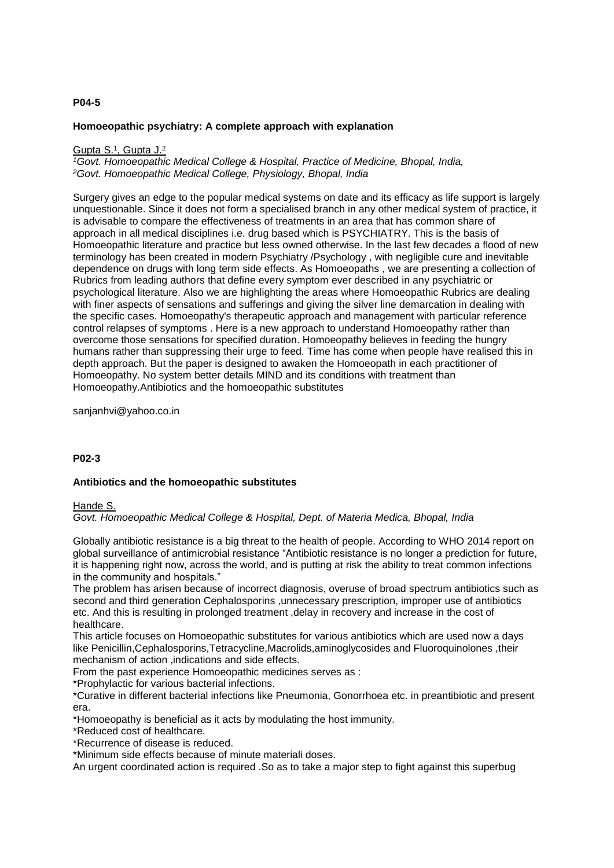## **P04-5**

## **Homoeopathic psychiatry: A complete approach with explanation**

#### Gupta S.<sup>1</sup>, Gupta J.<sup>2</sup>

*<sup>1</sup>Govt. Homoeopathic Medical College & Hospital, Practice of Medicine, Bhopal, India, <sup>2</sup>Govt. Homoeopathic Medical College, Physiology, Bhopal, India*

Surgery gives an edge to the popular medical systems on date and its efficacy as life support is largely unquestionable. Since it does not form a specialised branch in any other medical system of practice, it is advisable to compare the effectiveness of treatments in an area that has common share of approach in all medical disciplines i.e. drug based which is PSYCHIATRY. This is the basis of Homoeopathic literature and practice but less owned otherwise. In the last few decades a flood of new terminology has been created in modern Psychiatry /Psychology , with negligible cure and inevitable dependence on drugs with long term side effects. As Homoeopaths , we are presenting a collection of Rubrics from leading authors that define every symptom ever described in any psychiatric or psychological literature. Also we are highlighting the areas where Homoeopathic Rubrics are dealing with finer aspects of sensations and sufferings and giving the silver line demarcation in dealing with the specific cases. Homoeopathy's therapeutic approach and management with particular reference control relapses of symptoms . Here is a new approach to understand Homoeopathy rather than overcome those sensations for specified duration. Homoeopathy believes in feeding the hungry humans rather than suppressing their urge to feed. Time has come when people have realised this in depth approach. But the paper is designed to awaken the Homoeopath in each practitioner of Homoeopathy. No system better details MIND and its conditions with treatment than Homoeopathy.Antibiotics and the homoeopathic substitutes

sanjanhvi@yahoo.co.in

# **P02-3**

#### **Antibiotics and the homoeopathic substitutes**

#### Hande S.

*Govt. Homoeopathic Medical College & Hospital, Dept. of Materia Medica, Bhopal, India*

Globally antibiotic resistance is a big threat to the health of people. According to WHO 2014 report on global surveillance of antimicrobial resistance "Antibiotic resistance is no longer a prediction for future, it is happening right now, across the world, and is putting at risk the ability to treat common infections in the community and hospitals."

The problem has arisen because of incorrect diagnosis, overuse of broad spectrum antibiotics such as second and third generation Cephalosporins ,unnecessary prescription, improper use of antibiotics etc. And this is resulting in prolonged treatment ,delay in recovery and increase in the cost of healthcare.

This article focuses on Homoeopathic substitutes for various antibiotics which are used now a days like Penicillin,Cephalosporins,Tetracycline,Macrolids,aminoglycosides and Fluoroquinolones ,their mechanism of action ,indications and side effects.

From the past experience Homoeopathic medicines serves as :

\*Prophylactic for various bacterial infections.

\*Curative in different bacterial infections like Pneumonia, Gonorrhoea etc. in preantibiotic and present era.

\*Homoeopathy is beneficial as it acts by modulating the host immunity.

\*Reduced cost of healthcare.

\*Recurrence of disease is reduced.

\*Minimum side effects because of minute materiali doses.

An urgent coordinated action is required .So as to take a major step to fight against this superbug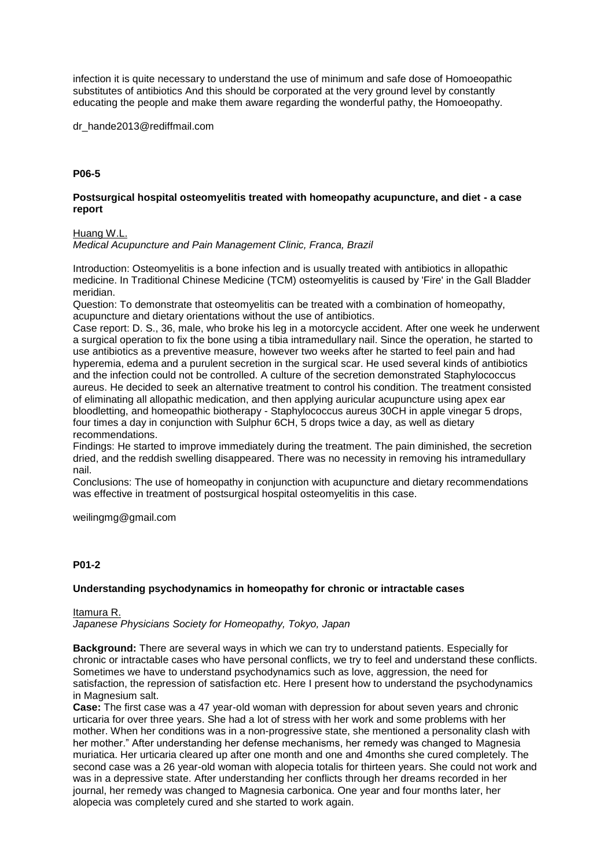infection it is quite necessary to understand the use of minimum and safe dose of Homoeopathic substitutes of antibiotics And this should be corporated at the very ground level by constantly educating the people and make them aware regarding the wonderful pathy, the Homoeopathy.

dr\_hande2013@rediffmail.com

# **P06-5**

## **Postsurgical hospital osteomyelitis treated with homeopathy acupuncture, and diet - a case report**

#### Huang W.L.

*Medical Acupuncture and Pain Management Clinic, Franca, Brazil*

Introduction: Osteomyelitis is a bone infection and is usually treated with antibiotics in allopathic medicine. In Traditional Chinese Medicine (TCM) osteomyelitis is caused by 'Fire' in the Gall Bladder meridian.

Question: To demonstrate that osteomyelitis can be treated with a combination of homeopathy, acupuncture and dietary orientations without the use of antibiotics.

Case report: D. S., 36, male, who broke his leg in a motorcycle accident. After one week he underwent a surgical operation to fix the bone using a tibia intramedullary nail. Since the operation, he started to use antibiotics as a preventive measure, however two weeks after he started to feel pain and had hyperemia, edema and a purulent secretion in the surgical scar. He used several kinds of antibiotics and the infection could not be controlled. A culture of the secretion demonstrated Staphylococcus aureus. He decided to seek an alternative treatment to control his condition. The treatment consisted of eliminating all allopathic medication, and then applying auricular acupuncture using apex ear bloodletting, and homeopathic biotherapy - Staphylococcus aureus 30CH in apple vinegar 5 drops, four times a day in conjunction with Sulphur 6CH, 5 drops twice a day, as well as dietary recommendations.

Findings: He started to improve immediately during the treatment. The pain diminished, the secretion dried, and the reddish swelling disappeared. There was no necessity in removing his intramedullary nail.

Conclusions: The use of homeopathy in conjunction with acupuncture and dietary recommendations was effective in treatment of postsurgical hospital osteomyelitis in this case.

weilingmg@gmail.com

## **P01-2**

#### **Understanding psychodynamics in homeopathy for chronic or intractable cases**

Itamura R. *Japanese Physicians Society for Homeopathy, Tokyo, Japan*

**Background:** There are several ways in which we can try to understand patients. Especially for chronic or intractable cases who have personal conflicts, we try to feel and understand these conflicts. Sometimes we have to understand psychodynamics such as love, aggression, the need for satisfaction, the repression of satisfaction etc. Here I present how to understand the psychodynamics in Magnesium salt.

**Case:** The first case was a 47 year-old woman with depression for about seven years and chronic urticaria for over three years. She had a lot of stress with her work and some problems with her mother. When her conditions was in a non-progressive state, she mentioned a personality clash with her mother." After understanding her defense mechanisms, her remedy was changed to Magnesia muriatica. Her urticaria cleared up after one month and one and 4months she cured completely. The second case was a 26 year-old woman with alopecia totalis for thirteen years. She could not work and was in a depressive state. After understanding her conflicts through her dreams recorded in her journal, her remedy was changed to Magnesia carbonica. One year and four months later, her alopecia was completely cured and she started to work again.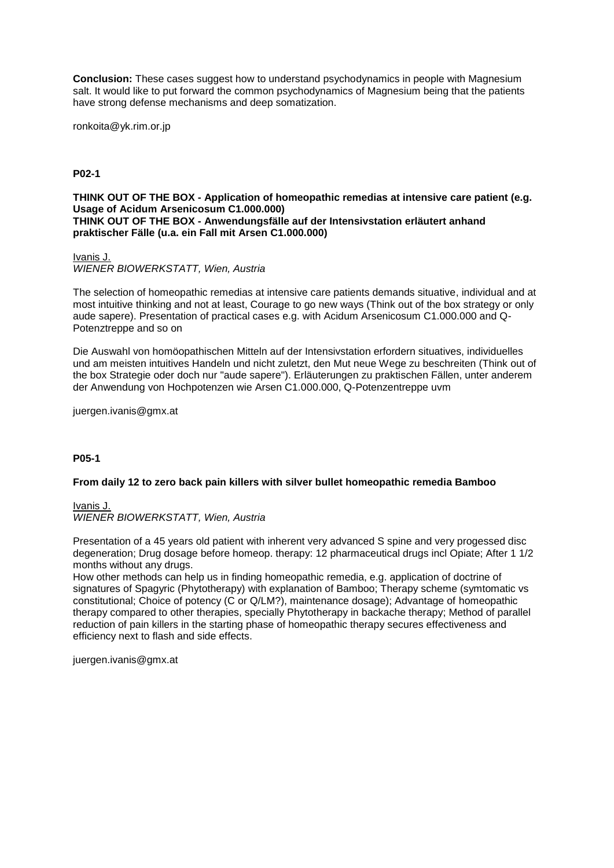**Conclusion:** These cases suggest how to understand psychodynamics in people with Magnesium salt. It would like to put forward the common psychodynamics of Magnesium being that the patients have strong defense mechanisms and deep somatization.

ronkoita@yk.rim.or.jp

**P02-1**

**THINK OUT OF THE BOX - Application of homeopathic remedias at intensive care patient (e.g. Usage of Acidum Arsenicosum C1.000.000) THINK OUT OF THE BOX - Anwendungsfälle auf der Intensivstation erläutert anhand praktischer Fälle (u.a. ein Fall mit Arsen C1.000.000)**

Ivanis J.

*WIENER BIOWERKSTATT, Wien, Austria*

The selection of homeopathic remedias at intensive care patients demands situative, individual and at most intuitive thinking and not at least, Courage to go new ways (Think out of the box strategy or only aude sapere). Presentation of practical cases e.g. with Acidum Arsenicosum C1.000.000 and Q-Potenztreppe and so on

Die Auswahl von homöopathischen Mitteln auf der Intensivstation erfordern situatives, individuelles und am meisten intuitives Handeln und nicht zuletzt, den Mut neue Wege zu beschreiten (Think out of the box Strategie oder doch nur "aude sapere"). Erläuterungen zu praktischen Fällen, unter anderem der Anwendung von Hochpotenzen wie Arsen C1.000.000, Q-Potenzentreppe uvm

juergen.ivanis@gmx.at

# **P05-1**

## **From daily 12 to zero back pain killers with silver bullet homeopathic remedia Bamboo**

Ivanis J. *WIENER BIOWERKSTATT, Wien, Austria*

Presentation of a 45 years old patient with inherent very advanced S spine and very progessed disc degeneration; Drug dosage before homeop. therapy: 12 pharmaceutical drugs incl Opiate; After 1 1/2 months without any drugs.

How other methods can help us in finding homeopathic remedia, e.g. application of doctrine of signatures of Spagyric (Phytotherapy) with explanation of Bamboo; Therapy scheme (symtomatic vs constitutional; Choice of potency (C or Q/LM?), maintenance dosage); Advantage of homeopathic therapy compared to other therapies, specially Phytotherapy in backache therapy; Method of parallel reduction of pain killers in the starting phase of homeopathic therapy secures effectiveness and efficiency next to flash and side effects.

juergen.ivanis@gmx.at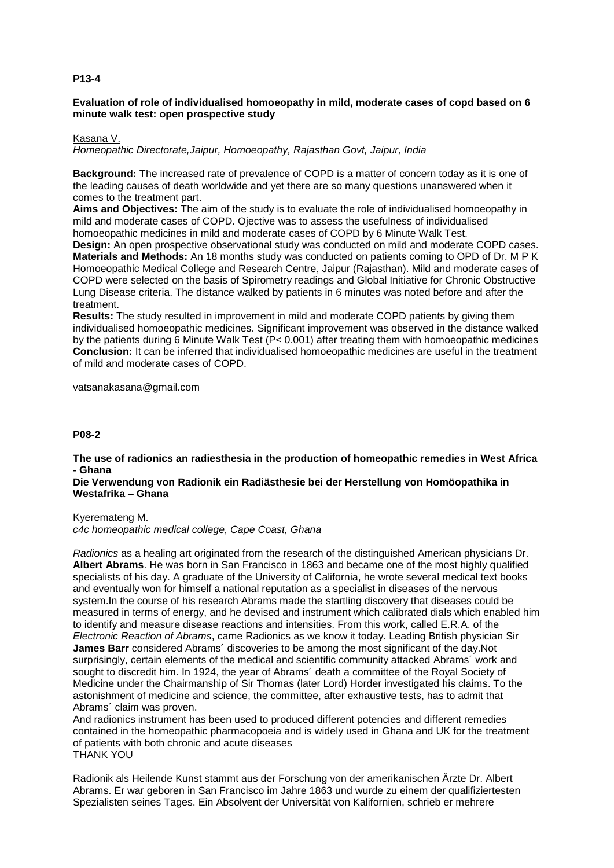# **P13-4**

# **Evaluation of role of individualised homoeopathy in mild, moderate cases of copd based on 6 minute walk test: open prospective study**

#### Kasana V.

*Homeopathic Directorate,Jaipur, Homoeopathy, Rajasthan Govt, Jaipur, India*

**Background:** The increased rate of prevalence of COPD is a matter of concern today as it is one of the leading causes of death worldwide and yet there are so many questions unanswered when it comes to the treatment part.

**Aims and Objectives:** The aim of the study is to evaluate the role of individualised homoeopathy in mild and moderate cases of COPD. Ojective was to assess the usefulness of individualised homoeopathic medicines in mild and moderate cases of COPD by 6 Minute Walk Test.

**Design:** An open prospective observational study was conducted on mild and moderate COPD cases. **Materials and Methods:** An 18 months study was conducted on patients coming to OPD of Dr. M P K Homoeopathic Medical College and Research Centre, Jaipur (Rajasthan). Mild and moderate cases of COPD were selected on the basis of Spirometry readings and Global Initiative for Chronic Obstructive Lung Disease criteria. The distance walked by patients in 6 minutes was noted before and after the treatment.

**Results:** The study resulted in improvement in mild and moderate COPD patients by giving them individualised homoeopathic medicines. Significant improvement was observed in the distance walked by the patients during 6 Minute Walk Test (P< 0.001) after treating them with homoeopathic medicines **Conclusion:** It can be inferred that individualised homoeopathic medicines are useful in the treatment of mild and moderate cases of COPD.

vatsanakasana@gmail.com

## **P08-2**

**The use of radionics an radiesthesia in the production of homeopathic remedies in West Africa - Ghana**

# **Die Verwendung von Radionik ein Radiästhesie bei der Herstellung von Homöopathika in Westafrika – Ghana**

#### Kyeremateng M.

*c4c homeopathic medical college, Cape Coast, Ghana*

*Radionics* as a healing art originated from the research of the distinguished American physicians Dr. **Albert Abrams**. He was born in San Francisco in 1863 and became one of the most highly qualified specialists of his day. A graduate of the University of California, he wrote several medical text books and eventually won for himself a national reputation as a specialist in diseases of the nervous system.In the course of his research Abrams made the startling discovery that diseases could be measured in terms of energy, and he devised and instrument which calibrated dials which enabled him to identify and measure disease reactions and intensities. From this work, called E.R.A. of the *Electronic Reaction of Abrams*, came Radionics as we know it today. Leading British physician Sir **James Barr** considered Abrams´ discoveries to be among the most significant of the day.Not surprisingly, certain elements of the medical and scientific community attacked Abrams´ work and sought to discredit him. In 1924, the year of Abrams´ death a committee of the Royal Society of Medicine under the Chairmanship of Sir Thomas (later Lord) Horder investigated his claims. To the astonishment of medicine and science, the committee, after exhaustive tests, has to admit that Abrams´ claim was proven.

And radionics instrument has been used to produced different potencies and different remedies contained in the homeopathic pharmacopoeia and is widely used in Ghana and UK for the treatment of patients with both chronic and acute diseases THANK YOU

Radionik als Heilende Kunst stammt aus der Forschung von der amerikanischen Ärzte Dr. Albert Abrams. Er war geboren in San Francisco im Jahre 1863 und wurde zu einem der qualifiziertesten Spezialisten seines Tages. Ein Absolvent der Universität von Kalifornien, schrieb er mehrere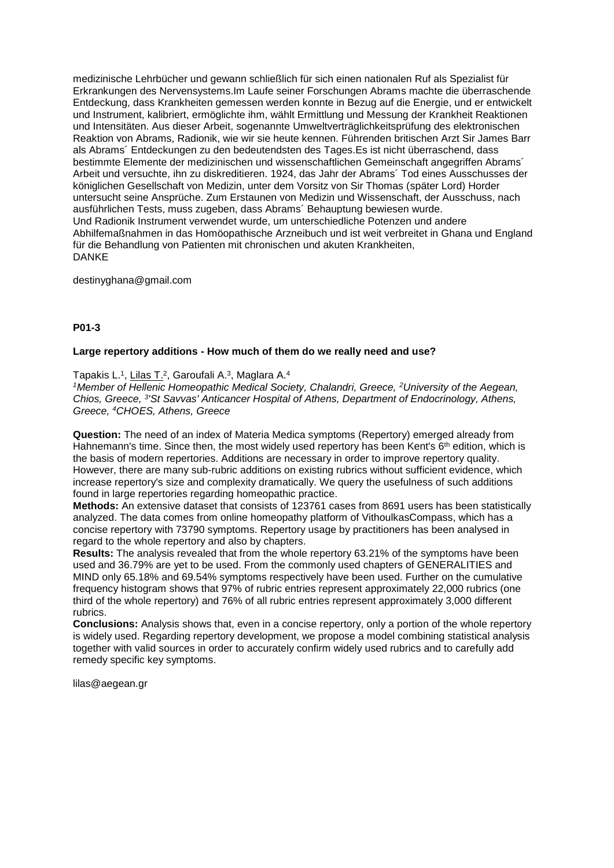medizinische Lehrbücher und gewann schließlich für sich einen nationalen Ruf als Spezialist für Erkrankungen des Nervensystems.Im Laufe seiner Forschungen Abrams machte die überraschende Entdeckung, dass Krankheiten gemessen werden konnte in Bezug auf die Energie, und er entwickelt und Instrument, kalibriert, ermöglichte ihm, wählt Ermittlung und Messung der Krankheit Reaktionen und Intensitäten. Aus dieser Arbeit, sogenannte Umweltverträglichkeitsprüfung des elektronischen Reaktion von Abrams, Radionik, wie wir sie heute kennen. Führenden britischen Arzt Sir James Barr als Abrams´ Entdeckungen zu den bedeutendsten des Tages.Es ist nicht überraschend, dass bestimmte Elemente der medizinischen und wissenschaftlichen Gemeinschaft angegriffen Abrams´ Arbeit und versuchte, ihn zu diskreditieren. 1924, das Jahr der Abrams´ Tod eines Ausschusses der königlichen Gesellschaft von Medizin, unter dem Vorsitz von Sir Thomas (später Lord) Horder untersucht seine Ansprüche. Zum Erstaunen von Medizin und Wissenschaft, der Ausschuss, nach ausführlichen Tests, muss zugeben, dass Abrams´ Behauptung bewiesen wurde. Und Radionik Instrument verwendet wurde, um unterschiedliche Potenzen und andere Abhilfemaßnahmen in das Homöopathische Arzneibuch und ist weit verbreitet in Ghana und England für die Behandlung von Patienten mit chronischen und akuten Krankheiten, DANKE

destinyghana@gmail.com

## **P01-3**

#### **Large repertory additions - How much of them do we really need and use?**

Tapakis L.<sup>1</sup>, Lilas T.<sup>2</sup>, Garoufali A.<sup>3</sup>, Maglara A.<sup>4</sup>

*<sup>1</sup>Member of Hellenic Homeopathic Medical Society, Chalandri, Greece, <sup>2</sup>University of the Aegean, Chios, Greece, <sup>3</sup> 'St Savvas' Anticancer Hospital of Athens, Department of Endocrinology, Athens, Greece, <sup>4</sup>CHOES, Athens, Greece*

**Question:** The need of an index of Materia Medica symptoms (Repertory) emerged already from Hahnemann's time. Since then, the most widely used repertory has been Kent's 6<sup>th</sup> edition, which is the basis of modern repertories. Additions are necessary in order to improve repertory quality. However, there are many sub-rubric additions on existing rubrics without sufficient evidence, which increase repertory's size and complexity dramatically. We query the usefulness of such additions found in large repertories regarding homeopathic practice.

**Methods:** An extensive dataset that consists of 123761 cases from 8691 users has been statistically analyzed. The data comes from online homeopathy platform of VithoulkasCompass, which has a concise repertory with 73790 symptoms. Repertory usage by practitioners has been analysed in regard to the whole repertory and also by chapters.

**Results:** The analysis revealed that from the whole repertory 63.21% of the symptoms have been used and 36.79% are yet to be used. From the commonly used chapters of GENERALITIES and MIND only 65.18% and 69.54% symptoms respectively have been used. Further on the cumulative frequency histogram shows that 97% of rubric entries represent approximately 22,000 rubrics (one third of the whole repertory) and 76% of all rubric entries represent approximately 3,000 different rubrics.

**Conclusions:** Analysis shows that, even in a concise repertory, only a portion of the whole repertory is widely used. Regarding repertory development, we propose a model combining statistical analysis together with valid sources in order to accurately confirm widely used rubrics and to carefully add remedy specific key symptoms.

lilas@aegean.gr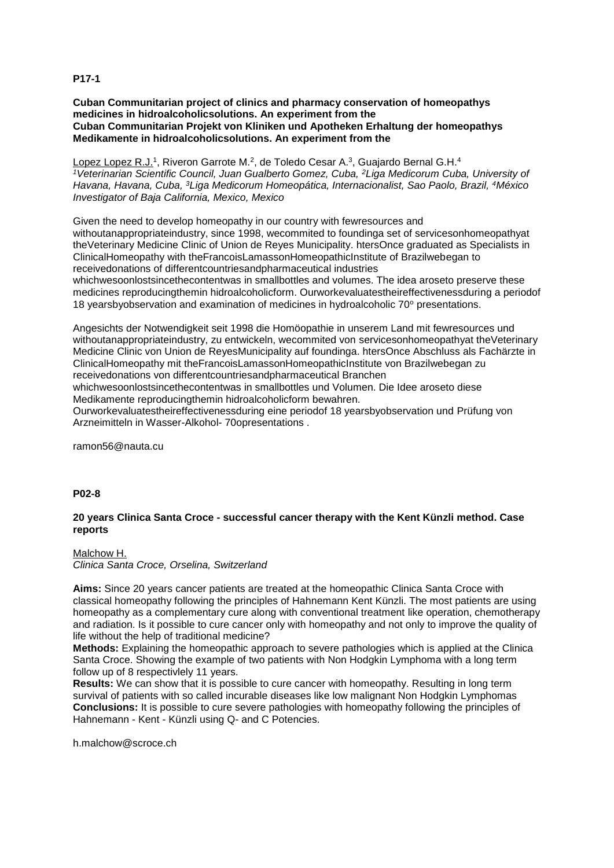**P17-1**

**Cuban Communitarian project of clinics and pharmacy conservation of homeopathys medicines in hidroalcoholicsolutions. An experiment from the Cuban Communitarian Projekt von Kliniken und Apotheken Erhaltung der homeopathys Medikamente in hidroalcoholicsolutions. An experiment from the**

<u>Lopez Lopez R.J.</u>1, Riveron Garrote M.<sup>2</sup>, de Toledo Cesar A.<sup>3</sup>, Guajardo Bernal G.H.<sup>4</sup> *<sup>1</sup>Veterinarian Scientific Council, Juan Gualberto Gomez, Cuba, <sup>2</sup>Liga Medicorum Cuba, University of Havana, Havana, Cuba, <sup>3</sup>Liga Medicorum Homeopática, Internacionalist, Sao Paolo, Brazil, <sup>4</sup>México Investigator of Baja California, Mexico, Mexico*

Given the need to develop homeopathy in our country with fewresources and withoutanappropriateindustry, since 1998, wecommited to foundinga set of servicesonhomeopathyat theVeterinary Medicine Clinic of Union de Reyes Municipality. htersOnce graduated as Specialists in ClinicalHomeopathy with theFrancoisLamassonHomeopathicInstitute of Brazilwebegan to receivedonations of differentcountriesandpharmaceutical industries

whichwesoonlostsincethecontentwas in smallbottles and volumes. The idea aroseto preserve these medicines reproducingthemin hidroalcoholicform. Ourworkevaluatestheireffectivenessduring a periodof 18 yearsbyobservation and examination of medicines in hydroalcoholic 70° presentations.

Angesichts der Notwendigkeit seit 1998 die Homöopathie in unserem Land mit fewresources und withoutanappropriateindustry, zu entwickeln, wecommited von servicesonhomeopathyat theVeterinary Medicine Clinic von Union de ReyesMunicipality auf foundinga. htersOnce Abschluss als Fachärzte in ClinicalHomeopathy mit theFrancoisLamassonHomeopathicInstitute von Brazilwebegan zu receivedonations von differentcountriesandpharmaceutical Branchen

whichwesoonlostsincethecontentwas in smallbottles und Volumen. Die Idee aroseto diese Medikamente reproducingthemin hidroalcoholicform bewahren.

Ourworkevaluatestheireffectivenessduring eine periodof 18 yearsbyobservation und Prüfung von Arzneimitteln in Wasser-Alkohol- 70opresentations .

ramon56@nauta.cu

# **P02-8**

# **20 years Clinica Santa Croce - successful cancer therapy with the Kent Künzli method. Case reports**

Malchow H. *Clinica Santa Croce, Orselina, Switzerland*

**Aims:** Since 20 years cancer patients are treated at the homeopathic Clinica Santa Croce with classical homeopathy following the principles of Hahnemann Kent Künzli. The most patients are using homeopathy as a complementary cure along with conventional treatment like operation, chemotherapy and radiation. Is it possible to cure cancer only with homeopathy and not only to improve the quality of life without the help of traditional medicine?

**Methods:** Explaining the homeopathic approach to severe pathologies which is applied at the Clinica Santa Croce. Showing the example of two patients with Non Hodgkin Lymphoma with a long term follow up of 8 respectivlely 11 years.

**Results:** We can show that it is possible to cure cancer with homeopathy. Resulting in long term survival of patients with so called incurable diseases like low malignant Non Hodgkin Lymphomas **Conclusions:** It is possible to cure severe pathologies with homeopathy following the principles of Hahnemann - Kent - Künzli using Q- and C Potencies.

h.malchow@scroce.ch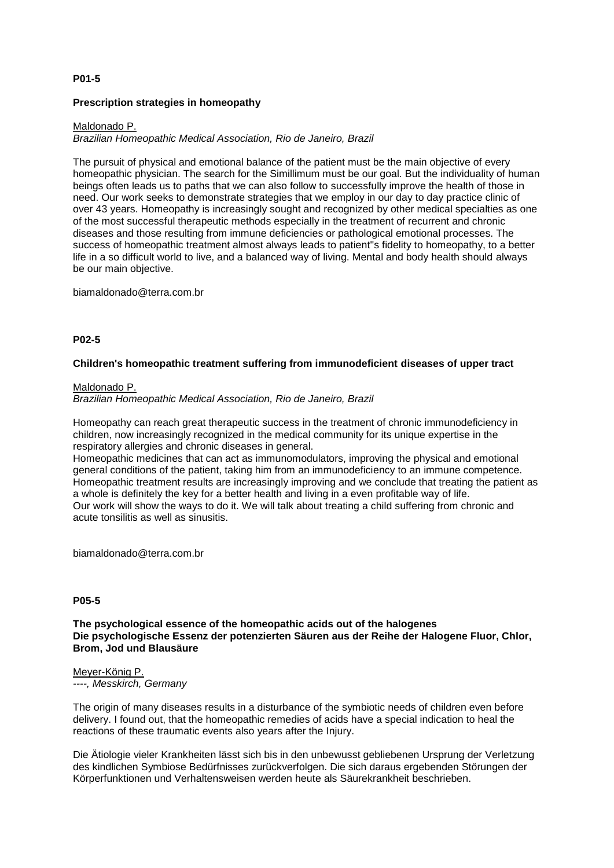# **P01-5**

## **Prescription strategies in homeopathy**

## Maldonado P.

*Brazilian Homeopathic Medical Association, Rio de Janeiro, Brazil*

The pursuit of physical and emotional balance of the patient must be the main objective of every homeopathic physician. The search for the Simillimum must be our goal. But the individuality of human beings often leads us to paths that we can also follow to successfully improve the health of those in need. Our work seeks to demonstrate strategies that we employ in our day to day practice clinic of over 43 years. Homeopathy is increasingly sought and recognized by other medical specialties as one of the most successful therapeutic methods especially in the treatment of recurrent and chronic diseases and those resulting from immune deficiencies or pathological emotional processes. The success of homeopathic treatment almost always leads to patient''s fidelity to homeopathy, to a better life in a so difficult world to live, and a balanced way of living. Mental and body health should always be our main objective.

biamaldonado@terra.com.br

#### **P02-5**

#### **Children's homeopathic treatment suffering from immunodeficient diseases of upper tract**

#### Maldonado P.

*Brazilian Homeopathic Medical Association, Rio de Janeiro, Brazil*

Homeopathy can reach great therapeutic success in the treatment of chronic immunodeficiency in children, now increasingly recognized in the medical community for its unique expertise in the respiratory allergies and chronic diseases in general.

Homeopathic medicines that can act as immunomodulators, improving the physical and emotional general conditions of the patient, taking him from an immunodeficiency to an immune competence. Homeopathic treatment results are increasingly improving and we conclude that treating the patient as a whole is definitely the key for a better health and living in a even profitable way of life. Our work will show the ways to do it. We will talk about treating a child suffering from chronic and acute tonsilitis as well as sinusitis.

biamaldonado@terra.com.br

#### **P05-5**

**The psychological essence of the homeopathic acids out of the halogenes Die psychologische Essenz der potenzierten Säuren aus der Reihe der Halogene Fluor, Chlor, Brom, Jod und Blausäure**

# Meyer-König P.

*----, Messkirch, Germany*

The origin of many diseases results in a disturbance of the symbiotic needs of children even before delivery. I found out, that the homeopathic remedies of acids have a special indication to heal the reactions of these traumatic events also years after the Injury.

Die Ätiologie vieler Krankheiten lässt sich bis in den unbewusst gebliebenen Ursprung der Verletzung des kindlichen Symbiose Bedürfnisses zurückverfolgen. Die sich daraus ergebenden Störungen der Körperfunktionen und Verhaltensweisen werden heute als Säurekrankheit beschrieben.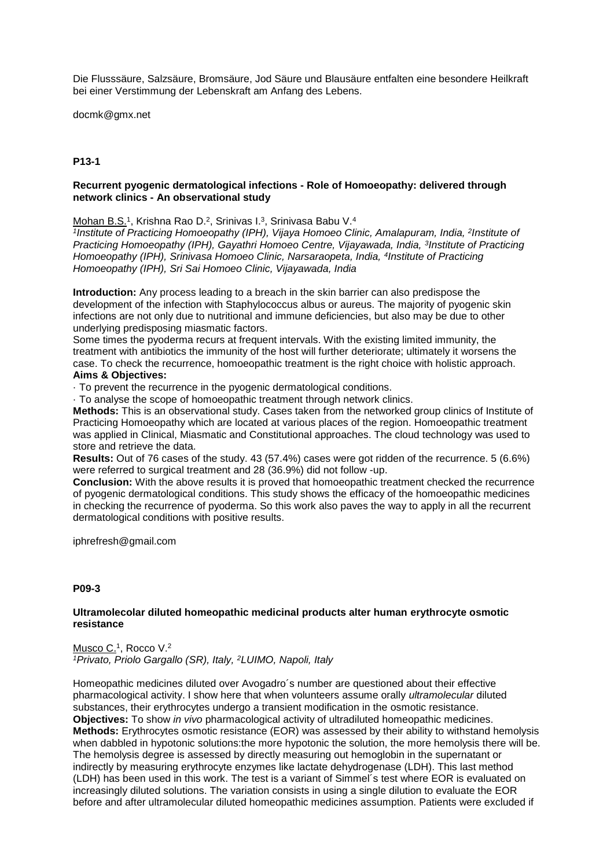Die Flusssäure, Salzsäure, Bromsäure, Jod Säure und Blausäure entfalten eine besondere Heilkraft bei einer Verstimmung der Lebenskraft am Anfang des Lebens.

docmk@gmx.net

# **P13-1**

## **Recurrent pyogenic dermatological infections - Role of Homoeopathy: delivered through network clinics - An observational study**

Mohan B.S.<sup>1</sup>, Krishna Rao D.<sup>2</sup>, Srinivas I.<sup>3</sup>, Srinivasa Babu V.<sup>4</sup>

<sup>1</sup>Institute of Practicing Homoeopathy (IPH), Vijaya Homoeo Clinic, Amalapuram, India, <sup>2</sup>Institute of **Practicing Homoeopathy (IPH), Gayathri Homoeo Centre, Vijayawada, India, <sup>3</sup>Institute of Practicing** Homoeopathy (IPH), Srinivasa Homoeo Clinic, Narsaraopeta, India, <sup>4</sup>Institute of Practicing *Homoeopathy (IPH), Sri Sai Homoeo Clinic, Vijayawada, India*

**Introduction:** Any process leading to a breach in the skin barrier can also predispose the development of the infection with Staphylococcus albus or aureus. The majority of pyogenic skin infections are not only due to nutritional and immune deficiencies, but also may be due to other underlying predisposing miasmatic factors.

Some times the pyoderma recurs at frequent intervals. With the existing limited immunity, the treatment with antibiotics the immunity of the host will further deteriorate; ultimately it worsens the case. To check the recurrence, homoeopathic treatment is the right choice with holistic approach. **Aims & Objectives:** 

· To prevent the recurrence in the pyogenic dermatological conditions.

· To analyse the scope of homoeopathic treatment through network clinics.

**Methods:** This is an observational study. Cases taken from the networked group clinics of Institute of Practicing Homoeopathy which are located at various places of the region. Homoeopathic treatment was applied in Clinical, Miasmatic and Constitutional approaches. The cloud technology was used to store and retrieve the data.

**Results:** Out of 76 cases of the study. 43 (57.4%) cases were got ridden of the recurrence. 5 (6.6%) were referred to surgical treatment and 28 (36.9%) did not follow -up.

**Conclusion:** With the above results it is proved that homoeopathic treatment checked the recurrence of pyogenic dermatological conditions. This study shows the efficacy of the homoeopathic medicines in checking the recurrence of pyoderma. So this work also paves the way to apply in all the recurrent dermatological conditions with positive results.

iphrefresh@gmail.com

# **P09-3**

## **Ultramolecolar diluted homeopathic medicinal products alter human erythrocyte osmotic resistance**

Musco C.<sup>1</sup>, Rocco V.<sup>2</sup> *<sup>1</sup>Privato, Priolo Gargallo (SR), Italy, <sup>2</sup>LUIMO, Napoli, Italy*

Homeopathic medicines diluted over Avogadro´s number are questioned about their effective pharmacological activity. I show here that when volunteers assume orally *ultramolecular* diluted substances, their erythrocytes undergo a transient modification in the osmotic resistance. **Objectives:** To show *in vivo* pharmacological activity of ultradiluted homeopathic medicines. **Methods:** Erythrocytes osmotic resistance (EOR) was assessed by their ability to withstand hemolysis when dabbled in hypotonic solutions:the more hypotonic the solution, the more hemolysis there will be. The hemolysis degree is assessed by directly measuring out hemoglobin in the supernatant or indirectly by measuring erythrocyte enzymes like lactate dehydrogenase (LDH). This last method (LDH) has been used in this work. The test is a variant of Simmel´s test where EOR is evaluated on increasingly diluted solutions. The variation consists in using a single dilution to evaluate the EOR before and after ultramolecular diluted homeopathic medicines assumption. Patients were excluded if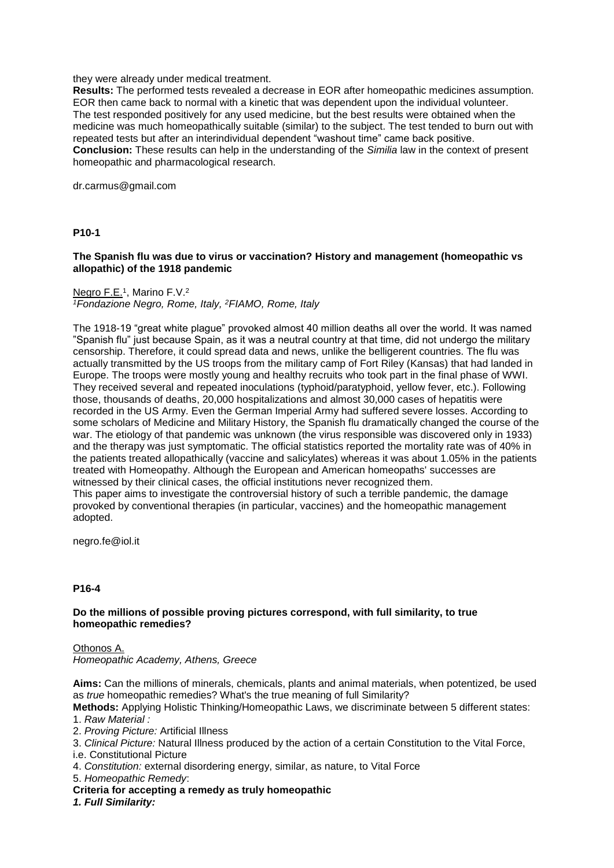#### they were already under medical treatment.

**Results:** The performed tests revealed a decrease in EOR after homeopathic medicines assumption. EOR then came back to normal with a kinetic that was dependent upon the individual volunteer. The test responded positively for any used medicine, but the best results were obtained when the medicine was much homeopathically suitable (similar) to the subject. The test tended to burn out with repeated tests but after an interindividual dependent "washout time" came back positive. **Conclusion:** These results can help in the understanding of the *Similia* law in the context of present homeopathic and pharmacological research.

dr.carmus@gmail.com

## **P10-1**

## **The Spanish flu was due to virus or vaccination? History and management (homeopathic vs allopathic) of the 1918 pandemic**

#### Negro F.E.<sup>1</sup>, Marino F.V.<sup>2</sup> *<sup>1</sup>Fondazione Negro, Rome, Italy, <sup>2</sup>FIAMO, Rome, Italy*

The 1918-19 "great white plague" provoked almost 40 million deaths all over the world. It was named "Spanish flu" just because Spain, as it was a neutral country at that time, did not undergo the military censorship. Therefore, it could spread data and news, unlike the belligerent countries. The flu was actually transmitted by the US troops from the military camp of Fort Riley (Kansas) that had landed in Europe. The troops were mostly young and healthy recruits who took part in the final phase of WWI. They received several and repeated inoculations (typhoid/paratyphoid, yellow fever, etc.). Following those, thousands of deaths, 20,000 hospitalizations and almost 30,000 cases of hepatitis were recorded in the US Army. Even the German Imperial Army had suffered severe losses. According to some scholars of Medicine and Military History, the Spanish flu dramatically changed the course of the war. The etiology of that pandemic was unknown (the virus responsible was discovered only in 1933) and the therapy was just symptomatic. The official statistics reported the mortality rate was of 40% in the patients treated allopathically (vaccine and salicylates) whereas it was about 1.05% in the patients treated with Homeopathy. Although the European and American homeopaths' successes are witnessed by their clinical cases, the official institutions never recognized them. This paper aims to investigate the controversial history of such a terrible pandemic, the damage provoked by conventional therapies (in particular, vaccines) and the homeopathic management adopted.

negro.fe@iol.it

## **P16-4**

## **Do the millions of possible proving pictures correspond, with full similarity, to true homeopathic remedies?**

Othonos A. *Homeopathic Academy, Athens, Greece*

**Aims:** Can the millions of minerals, chemicals, plants and animal materials, when potentized, be used as *true* homeopathic remedies? What's the true meaning of full Similarity?

**Methods:** Applying Holistic Thinking/Homeopathic Laws, we discriminate between 5 different states: 1. *Raw Material :*

2. *Proving Picture:* Artificial Illness

3. *Clinical Picture:* Natural Illness produced by the action of a certain Constitution to the Vital Force, i.e. Constitutional Picture

4. *Constitution:* external disordering energy, similar, as nature, to Vital Force

5. *Homeopathic Remedy*:

**Criteria for accepting a remedy as truly homeopathic**

*1. Full Similarity:*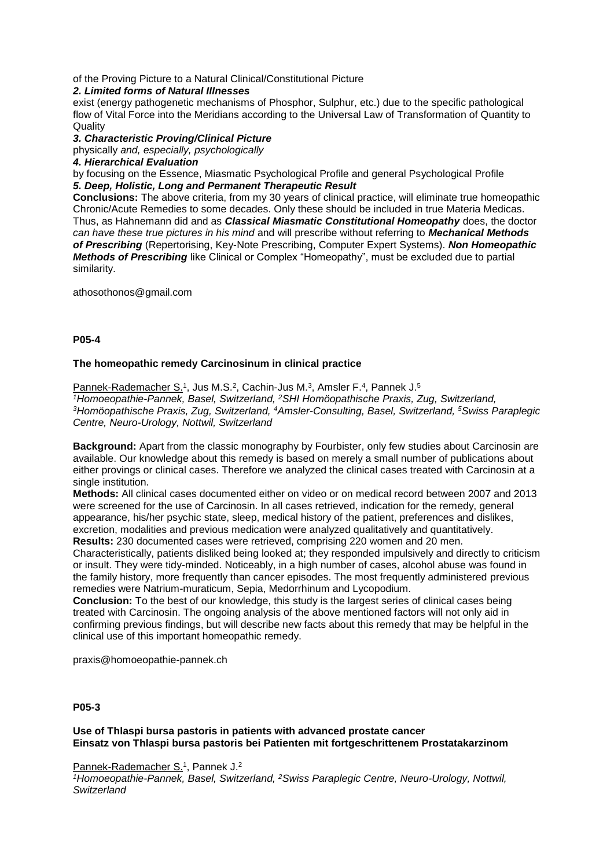of the Proving Picture to a Natural Clinical/Constitutional Picture

# *2. Limited forms of Natural Illnesses*

exist (energy pathogenetic mechanisms of Phosphor, Sulphur, etc.) due to the specific pathological flow of Vital Force into the Meridians according to the Universal Law of Transformation of Quantity to **Quality** 

*3. Characteristic Proving/Clinical Picture*

physically *and, especially, psychologically*

# *4. Hierarchical Evaluation*

by focusing on the Essence, Miasmatic Psychological Profile and general Psychological Profile *5. Deep, Holistic, Long and Permanent Therapeutic Result*

**Conclusions:** The above criteria, from my 30 years of clinical practice, will eliminate true homeopathic Chronic/Acute Remedies to some decades. Only these should be included in true Materia Medicas. Thus, as Hahnemann did and as *Classical Miasmatic Constitutional Homeopathy* does, the doctor *can have these true pictures in his mind* and will prescribe without referring to *Mechanical Methods of Prescribing* (Repertorising, Key-Note Prescribing, Computer Expert Systems). *Non Homeopathic Methods of Prescribing* like Clinical or Complex "Homeopathy", must be excluded due to partial similarity.

athosothonos@gmail.com

**P05-4**

# **The homeopathic remedy Carcinosinum in clinical practice**

Pannek-Rademacher S.<sup>1</sup>, Jus M.S.<sup>2</sup>, Cachin-Jus M.<sup>3</sup>, Amsler F.<sup>4</sup>, Pannek J.<sup>5</sup> *<sup>1</sup>Homoeopathie-Pannek, Basel, Switzerland, <sup>2</sup>SHI Homöopathische Praxis, Zug, Switzerland, <sup>3</sup>Homöopathische Praxis, Zug, Switzerland, <sup>4</sup>Amsler-Consulting, Basel, Switzerland, <sup>5</sup>Swiss Paraplegic Centre, Neuro-Urology, Nottwil, Switzerland*

**Background:** Apart from the classic monography by Fourbister, only few studies about Carcinosin are available. Our knowledge about this remedy is based on merely a small number of publications about either provings or clinical cases. Therefore we analyzed the clinical cases treated with Carcinosin at a single institution.

**Methods:** All clinical cases documented either on video or on medical record between 2007 and 2013 were screened for the use of Carcinosin. In all cases retrieved, indication for the remedy, general appearance, his/her psychic state, sleep, medical history of the patient, preferences and dislikes, excretion, modalities and previous medication were analyzed qualitatively and quantitatively. **Results:** 230 documented cases were retrieved, comprising 220 women and 20 men.

Characteristically, patients disliked being looked at; they responded impulsively and directly to criticism or insult. They were tidy-minded. Noticeably, in a high number of cases, alcohol abuse was found in the family history, more frequently than cancer episodes. The most frequently administered previous remedies were Natrium-muraticum, Sepia, Medorrhinum and Lycopodium.

**Conclusion:** To the best of our knowledge, this study is the largest series of clinical cases being treated with Carcinosin. The ongoing analysis of the above mentioned factors will not only aid in confirming previous findings, but will describe new facts about this remedy that may be helpful in the clinical use of this important homeopathic remedy.

praxis@homoeopathie-pannek.ch

**P05-3**

# **Use of Thlaspi bursa pastoris in patients with advanced prostate cancer Einsatz von Thlaspi bursa pastoris bei Patienten mit fortgeschrittenem Prostatakarzinom**

Pannek-Rademacher S.<sup>1</sup>, Pannek J.<sup>2</sup>

*<sup>1</sup>Homoeopathie-Pannek, Basel, Switzerland, <sup>2</sup>Swiss Paraplegic Centre, Neuro-Urology, Nottwil, Switzerland*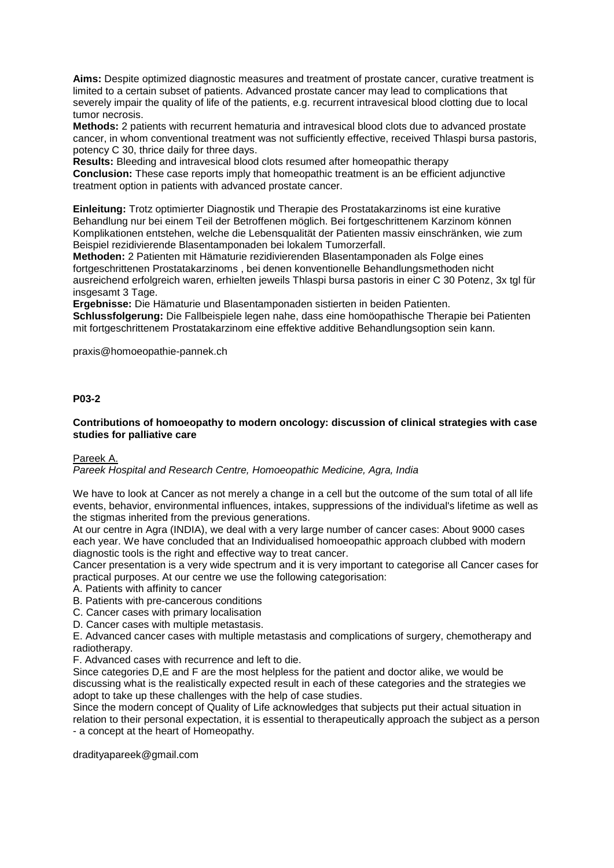**Aims:** Despite optimized diagnostic measures and treatment of prostate cancer, curative treatment is limited to a certain subset of patients. Advanced prostate cancer may lead to complications that severely impair the quality of life of the patients, e.g. recurrent intravesical blood clotting due to local tumor necrosis.

**Methods:** 2 patients with recurrent hematuria and intravesical blood clots due to advanced prostate cancer, in whom conventional treatment was not sufficiently effective, received Thlaspi bursa pastoris, potency C 30, thrice daily for three days.

**Results:** Bleeding and intravesical blood clots resumed after homeopathic therapy **Conclusion:** These case reports imply that homeopathic treatment is an be efficient adjunctive treatment option in patients with advanced prostate cancer.

**Einleitung:** Trotz optimierter Diagnostik und Therapie des Prostatakarzinoms ist eine kurative Behandlung nur bei einem Teil der Betroffenen möglich. Bei fortgeschrittenem Karzinom können Komplikationen entstehen, welche die Lebensqualität der Patienten massiv einschränken, wie zum Beispiel rezidivierende Blasentamponaden bei lokalem Tumorzerfall.

**Methoden:** 2 Patienten mit Hämaturie rezidivierenden Blasentamponaden als Folge eines fortgeschrittenen Prostatakarzinoms , bei denen konventionelle Behandlungsmethoden nicht ausreichend erfolgreich waren, erhielten jeweils Thlaspi bursa pastoris in einer C 30 Potenz, 3x tgl für insgesamt 3 Tage.

**Ergebnisse:** Die Hämaturie und Blasentamponaden sistierten in beiden Patienten.

**Schlussfolgerung:** Die Fallbeispiele legen nahe, dass eine homöopathische Therapie bei Patienten mit fortgeschrittenem Prostatakarzinom eine effektive additive Behandlungsoption sein kann.

praxis@homoeopathie-pannek.ch

## **P03-2**

## **Contributions of homoeopathy to modern oncology: discussion of clinical strategies with case studies for palliative care**

Pareek A.

*Pareek Hospital and Research Centre, Homoeopathic Medicine, Agra, India*

We have to look at Cancer as not merely a change in a cell but the outcome of the sum total of all life events, behavior, environmental influences, intakes, suppressions of the individual's lifetime as well as the stigmas inherited from the previous generations.

At our centre in Agra (INDIA), we deal with a very large number of cancer cases: About 9000 cases each year. We have concluded that an Individualised homoeopathic approach clubbed with modern diagnostic tools is the right and effective way to treat cancer.

Cancer presentation is a very wide spectrum and it is very important to categorise all Cancer cases for practical purposes. At our centre we use the following categorisation:

A. Patients with affinity to cancer

B. Patients with pre-cancerous conditions

C. Cancer cases with primary localisation

D. Cancer cases with multiple metastasis.

E. Advanced cancer cases with multiple metastasis and complications of surgery, chemotherapy and radiotherapy.

F. Advanced cases with recurrence and left to die.

Since categories D,E and F are the most helpless for the patient and doctor alike, we would be discussing what is the realistically expected result in each of these categories and the strategies we adopt to take up these challenges with the help of case studies.

Since the modern concept of Quality of Life acknowledges that subjects put their actual situation in relation to their personal expectation, it is essential to therapeutically approach the subject as a person - a concept at the heart of Homeopathy.

dradityapareek@gmail.com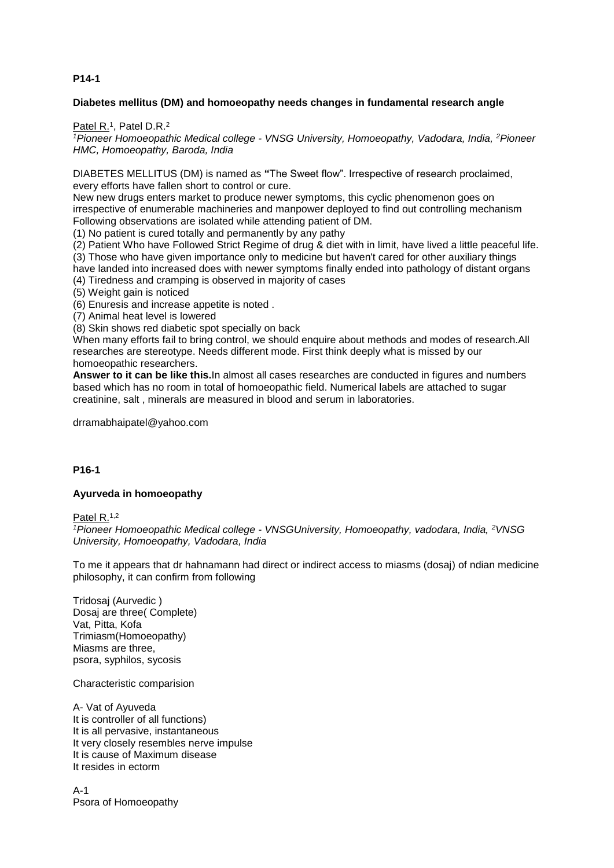# **P14-1**

# **Diabetes mellitus (DM) and homoeopathy needs changes in fundamental research angle**

Patel R.<sup>1</sup>, Patel D.R.<sup>2</sup>

*1Pioneer Homoeopathic Medical college - VNSG University, Homoeopathy, Vadodara, India, <sup>2</sup><i>Pioneer HMC, Homoeopathy, Baroda, India*

DIABETES MELLITUS (DM) is named as **"**The Sweet flow". Irrespective of research proclaimed, every efforts have fallen short to control or cure.

New new drugs enters market to produce newer symptoms, this cyclic phenomenon goes on irrespective of enumerable machineries and manpower deployed to find out controlling mechanism Following observations are isolated while attending patient of DM.

(1) No patient is cured totally and permanently by any pathy

(2) Patient Who have Followed Strict Regime of drug & diet with in limit, have lived a little peaceful life. (3) Those who have given importance only to medicine but haven't cared for other auxiliary things

have landed into increased does with newer symptoms finally ended into pathology of distant organs (4) Tiredness and cramping is observed in majority of cases

(5) Weight gain is noticed

(6) Enuresis and increase appetite is noted .

(7) Animal heat level is lowered

(8) Skin shows red diabetic spot specially on back

When many efforts fail to bring control, we should enquire about methods and modes of research.All researches are stereotype. Needs different mode. First think deeply what is missed by our homoeopathic researchers.

**Answer to it can be like this.**In almost all cases researches are conducted in figures and numbers based which has no room in total of homoeopathic field. Numerical labels are attached to sugar creatinine, salt , minerals are measured in blood and serum in laboratories.

drramabhaipatel@yahoo.com

## **P16-1**

## **Ayurveda in homoeopathy**

Patel R.<sup>1,2</sup>

*<sup>1</sup>Pioneer Homoeopathic Medical college - VNSGUniversity, Homoeopathy, vadodara, India, <sup>2</sup>VNSG University, Homoeopathy, Vadodara, India*

To me it appears that dr hahnamann had direct or indirect access to miasms (dosaj) of ndian medicine philosophy, it can confirm from following

Tridosaj (Aurvedic ) Dosaj are three( Complete) Vat, Pitta, Kofa Trimiasm(Homoeopathy) Miasms are three, psora, syphilos, sycosis

Characteristic comparision

A- Vat of Ayuveda It is controller of all functions) It is all pervasive, instantaneous It very closely resembles nerve impulse It is cause of Maximum disease It resides in ectorm

 $\Delta - 1$ Psora of Homoeopathy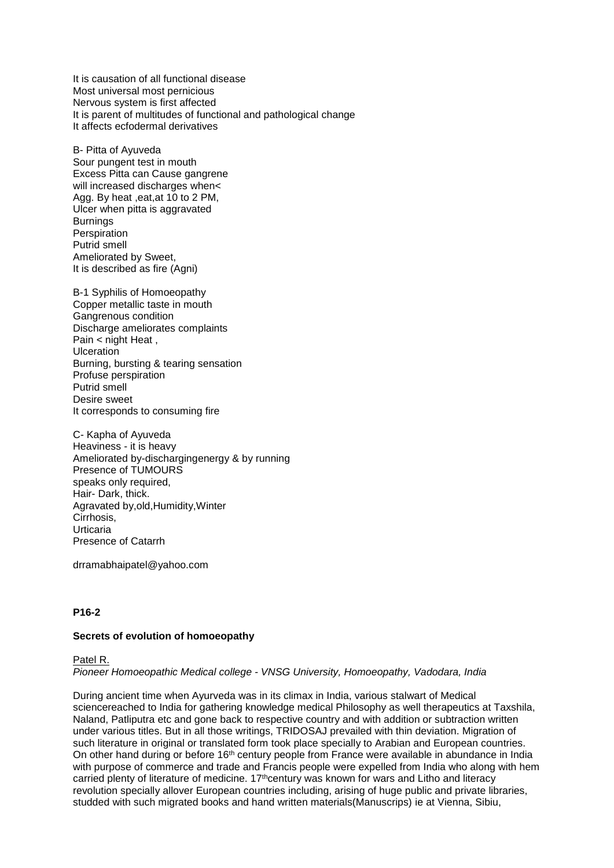It is causation of all functional disease Most universal most pernicious Nervous system is first affected It is parent of multitudes of functional and pathological change It affects ecfodermal derivatives

B- Pitta of Ayuveda Sour pungent test in mouth Excess Pitta can Cause gangrene will increased discharges when< Agg. By heat ,eat,at 10 to 2 PM, Ulcer when pitta is aggravated **Burnings Perspiration** Putrid smell Ameliorated by Sweet, It is described as fire (Agni)

B-1 Syphilis of Homoeopathy Copper metallic taste in mouth Gangrenous condition Discharge ameliorates complaints Pain < night Heat . Ulceration Burning, bursting & tearing sensation Profuse perspiration Putrid smell Desire sweet It corresponds to consuming fire

C- Kapha of Ayuveda Heaviness - it is heavy Ameliorated by-dischargingenergy & by running Presence of TUMOURS speaks only required. Hair- Dark, thick. Agravated by,old,Humidity,Winter Cirrhosis, Urticaria Presence of Catarrh

drramabhaipatel@yahoo.com

## **P16-2**

## **Secrets of evolution of homoeopathy**

# Patel R. *Pioneer Homoeopathic Medical college - VNSG University, Homoeopathy, Vadodara, India*

During ancient time when Ayurveda was in its climax in India, various stalwart of Medical sciencereached to India for gathering knowledge medical Philosophy as well therapeutics at Taxshila, Naland, Patliputra etc and gone back to respective country and with addition or subtraction written under various titles. But in all those writings, TRIDOSAJ prevailed with thin deviation. Migration of such literature in original or translated form took place specially to Arabian and European countries. On other hand during or before 16<sup>th</sup> century people from France were available in abundance in India with purpose of commerce and trade and Francis people were expelled from India who along with hem carried plenty of literature of medicine. 17<sup>th</sup>century was known for wars and Litho and literacy revolution specially allover European countries including, arising of huge public and private libraries, studded with such migrated books and hand written materials(Manuscrips) ie at Vienna, Sibiu,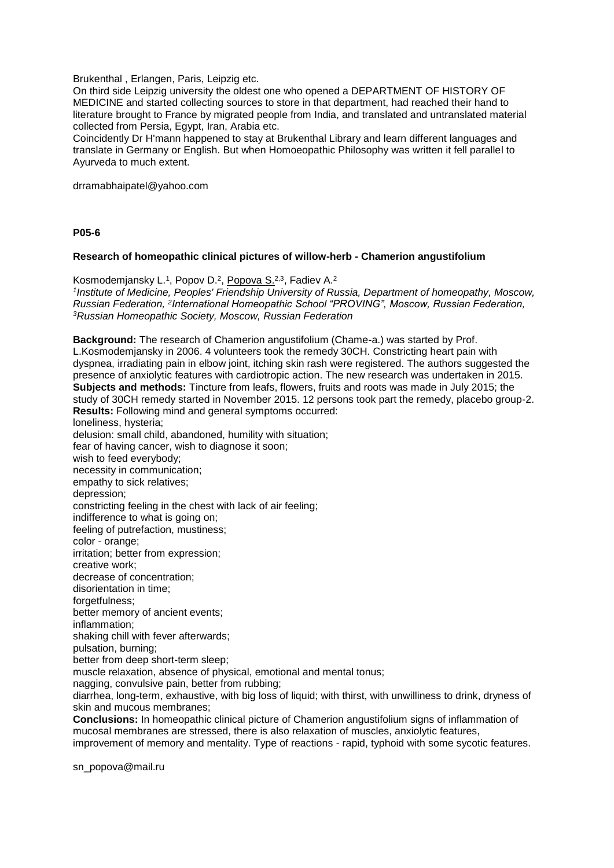Brukenthal , Erlangen, Paris, Leipzig etc.

On third side Leipzig university the oldest one who opened a DEPARTMENT OF HISTORY OF MEDICINE and started collecting sources to store in that department, had reached their hand to literature brought to France by migrated people from India, and translated and untranslated material collected from Persia, Egypt, Iran, Arabia etc.

Coincidently Dr H'mann happened to stay at Brukenthal Library and learn different languages and translate in Germany or English. But when Homoeopathic Philosophy was written it fell parallel to Ayurveda to much extent.

drramabhaipatel@yahoo.com

#### **P05-6**

#### **Research of homeopathic clinical pictures of willow-herb - Chamerion angustifolium**

Kosmodemjansky L.<sup>1</sup>, Popov D.<sup>2</sup>, <u>Popova S.</u><sup>2,3</sup>, Fadiev A.<sup>2</sup> *1 Institute of Medicine, Peoples' Friendship University of Russia, Department of homeopathy, Moscow,*  Russian Federation, <sup>2</sup>International Homeopathic School "PROVING", Moscow, Russian Federation, *<sup>3</sup>Russian Homeopathic Society, Moscow, Russian Federation*

**Background:** The research of Chamerion angustifolium (Chame-a.) was started by Prof. L.Kosmodemjansky in 2006. 4 volunteers took the remedy 30CH. Constricting heart pain with dyspnea, irradiating pain in elbow joint, itching skin rash were registered. The authors suggested the presence of anxiolytic features with cardiotropic action. The new research was undertaken in 2015. **Subjects and methods:** Tincture from leafs, flowers, fruits and roots was made in July 2015; the study of 30СH remedy started in November 2015. 12 persons took part the remedy, placebo group-2. **Results:** Following mind and general symptoms occurred: loneliness, hysteria; delusion: small child, abandoned, humility with situation; fear of having cancer, wish to diagnose it soon; wish to feed everybody; necessity in communication; empathy to sick relatives; depression; constricting feeling in the chest with lack of air feeling; indifference to what is going on: feeling of putrefaction, mustiness; color - orange; irritation; better from expression; creative work; decrease of concentration; disorientation in time; forgetfulness; better memory of ancient events; inflammation; shaking chill with fever afterwards; pulsation, burning; better from deep short-term sleep; muscle relaxation, absence of physical, emotional and mental tonus; nagging, convulsive pain, better from rubbing; diarrhea, long-term, exhaustive, with big loss of liquid; with thirst, with unwilliness to drink, dryness of skin and mucous membranes; **Conclusions:** In homeopathic clinical picture of Chamerion angustifolium signs of inflammation of mucosal membranes are stressed, there is also relaxation of muscles, anxiolytic features, improvement of memory and mentality. Type of reactions - rapid, typhoid with some sycotic features.

sn\_popova@mail.ru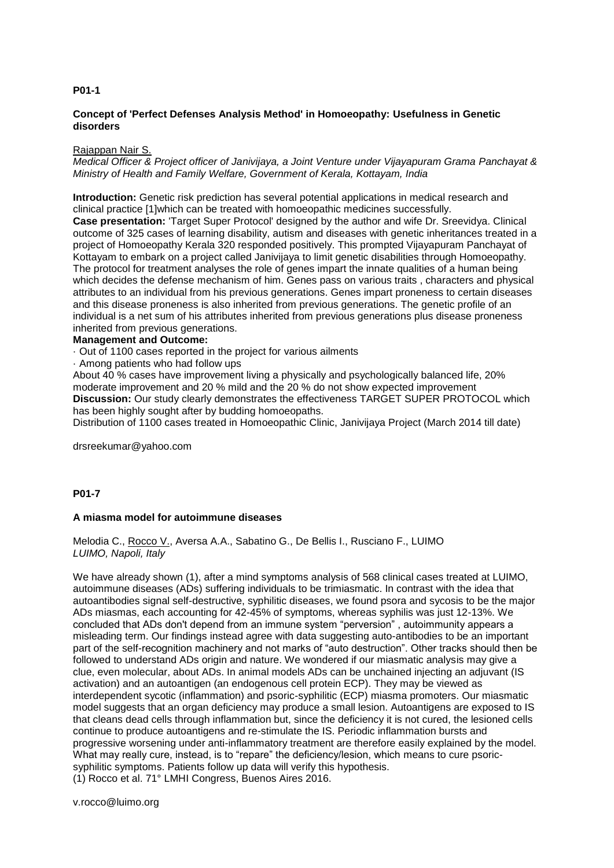## **P01-1**

## **Concept of 'Perfect Defenses Analysis Method' in Homoeopathy: Usefulness in Genetic disorders**

#### Rajappan Nair S.

*Medical Officer & Project officer of Janivijaya, a Joint Venture under Vijayapuram Grama Panchayat & Ministry of Health and Family Welfare, Government of Kerala, Kottayam, India*

**Introduction:** Genetic risk prediction has several potential applications in medical research and clinical practice [1]which can be treated with homoeopathic medicines successfully.

**Case presentation:** 'Target Super Protocol' designed by the author and wife Dr. Sreevidya. Clinical outcome of 325 cases of learning disability, autism and diseases with genetic inheritances treated in a project of Homoeopathy Kerala 320 responded positively. This prompted Vijayapuram Panchayat of Kottayam to embark on a project called Janivijaya to limit genetic disabilities through Homoeopathy. The protocol for treatment analyses the role of genes impart the innate qualities of a human being which decides the defense mechanism of him. Genes pass on various traits , characters and physical attributes to an individual from his previous generations. Genes impart proneness to certain diseases and this disease proneness is also inherited from previous generations. The genetic profile of an individual is a net sum of his attributes inherited from previous generations plus disease proneness inherited from previous generations.

## **Management and Outcome:**

· Out of 1100 cases reported in the project for various ailments

· Among patients who had follow ups

About 40 % cases have improvement living a physically and psychologically balanced life, 20% moderate improvement and 20 % mild and the 20 % do not show expected improvement **Discussion:** Our study clearly demonstrates the effectiveness TARGET SUPER PROTOCOL which has been highly sought after by budding homoeopaths.

Distribution of 1100 cases treated in Homoeopathic Clinic, Janivijaya Project (March 2014 till date)

drsreekumar@yahoo.com

# **P01-7**

## **A miasma model for autoimmune diseases**

Melodia C., Rocco V., Aversa A.A., Sabatino G., De Bellis I., Rusciano F., LUIMO *LUIMO, Napoli, Italy*

We have already shown (1), after a mind symptoms analysis of 568 clinical cases treated at LUIMO, autoimmune diseases (ADs) suffering individuals to be trimiasmatic. In contrast with the idea that autoantibodies signal self-destructive, syphilitic diseases, we found psora and sycosis to be the major ADs miasmas, each accounting for 42-45% of symptoms, whereas syphilis was just 12-13%. We concluded that ADs don't depend from an immune system "perversion" , autoimmunity appears a misleading term. Our findings instead agree with data suggesting auto-antibodies to be an important part of the self-recognition machinery and not marks of "auto destruction". Other tracks should then be followed to understand ADs origin and nature. We wondered if our miasmatic analysis may give a clue, even molecular, about ADs. In animal models ADs can be unchained injecting an adjuvant (IS activation) and an autoantigen (an endogenous cell protein ECP). They may be viewed as interdependent sycotic (inflammation) and psoric-syphilitic (ECP) miasma promoters. Our miasmatic model suggests that an organ deficiency may produce a small lesion. Autoantigens are exposed to IS that cleans dead cells through inflammation but, since the deficiency it is not cured, the lesioned cells continue to produce autoantigens and re-stimulate the IS. Periodic inflammation bursts and progressive worsening under anti-inflammatory treatment are therefore easily explained by the model. What may really cure, instead, is to "repare" the deficiency/lesion, which means to cure psoricsyphilitic symptoms. Patients follow up data will verify this hypothesis. (1) Rocco et al. 71° LMHI Congress, Buenos Aires 2016.

v.rocco@luimo.org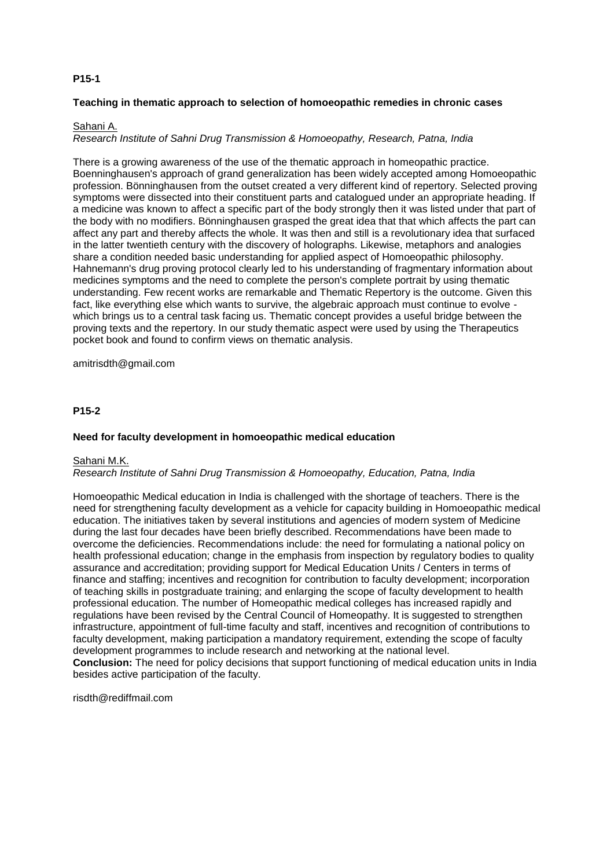# **P15-1**

## **Teaching in thematic approach to selection of homoeopathic remedies in chronic cases**

## Sahani A.

#### *Research Institute of Sahni Drug Transmission & Homoeopathy, Research, Patna, India*

There is a growing awareness of the use of the thematic approach in homeopathic practice. Boenninghausen's approach of grand generalization has been widely accepted among Homoeopathic profession. Bönninghausen from the outset created a very different kind of repertory. Selected proving symptoms were dissected into their constituent parts and catalogued under an appropriate heading. If a medicine was known to affect a specific part of the body strongly then it was listed under that part of the body with no modifiers. Bönninghausen grasped the great idea that that which affects the part can affect any part and thereby affects the whole. It was then and still is a revolutionary idea that surfaced in the latter twentieth century with the discovery of holographs. Likewise, metaphors and analogies share a condition needed basic understanding for applied aspect of Homoeopathic philosophy. Hahnemann's drug proving protocol clearly led to his understanding of fragmentary information about medicines symptoms and the need to complete the person's complete portrait by using thematic understanding. Few recent works are remarkable and Thematic Repertory is the outcome. Given this fact, like everything else which wants to survive, the algebraic approach must continue to evolve which brings us to a central task facing us. Thematic concept provides a useful bridge between the proving texts and the repertory. In our study thematic aspect were used by using the Therapeutics pocket book and found to confirm views on thematic analysis.

amitrisdth@gmail.com

#### **P15-2**

#### **Need for faculty development in homoeopathic medical education**

#### Sahani M.K.

#### *Research Institute of Sahni Drug Transmission & Homoeopathy, Education, Patna, India*

Homoeopathic Medical education in India is challenged with the shortage of teachers. There is the need for strengthening faculty development as a vehicle for capacity building in Homoeopathic medical education. The initiatives taken by several institutions and agencies of modern system of Medicine during the last four decades have been briefly described. Recommendations have been made to overcome the deficiencies. Recommendations include: the need for formulating a national policy on health professional education; change in the emphasis from inspection by regulatory bodies to quality assurance and accreditation; providing support for Medical Education Units / Centers in terms of finance and staffing; incentives and recognition for contribution to faculty development; incorporation of teaching skills in postgraduate training; and enlarging the scope of faculty development to health professional education. The number of Homeopathic medical colleges has increased rapidly and regulations have been revised by the Central Council of Homeopathy. It is suggested to strengthen infrastructure, appointment of full-time faculty and staff, incentives and recognition of contributions to faculty development, making participation a mandatory requirement, extending the scope of faculty development programmes to include research and networking at the national level. **Conclusion:** The need for policy decisions that support functioning of medical education units in India besides active participation of the faculty.

risdth@rediffmail.com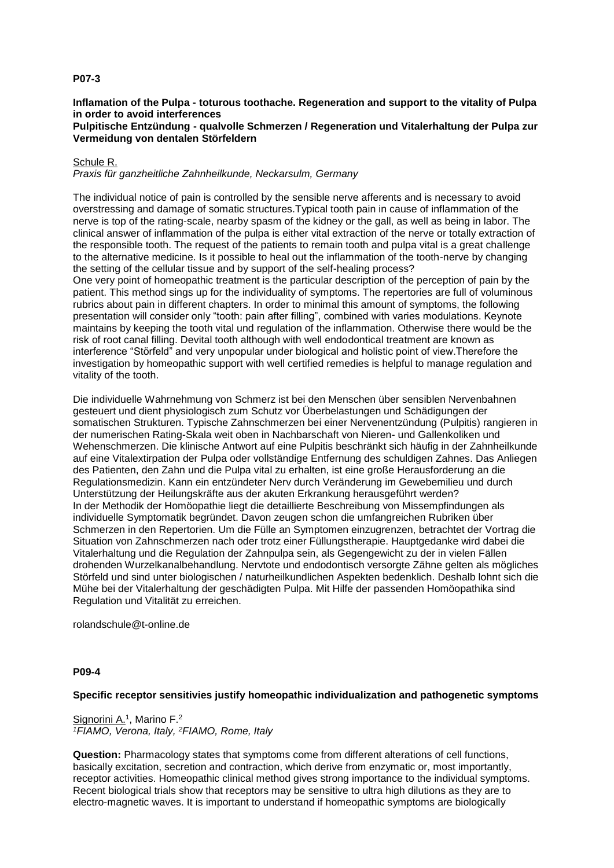## **P07-3**

#### **Inflamation of the Pulpa - toturous toothache. Regeneration and support to the vitality of Pulpa in order to avoid interferences Pulpitische Entzündung - qualvolle Schmerzen / Regeneration und Vitalerhaltung der Pulpa zur Vermeidung von dentalen Störfeldern**

# Schule R.

*Praxis für ganzheitliche Zahnheilkunde, Neckarsulm, Germany*

The individual notice of pain is controlled by the sensible nerve afferents and is necessary to avoid overstressing and damage of somatic structures.Typical tooth pain in cause of inflammation of the nerve is top of the rating-scale, nearby spasm of the kidney or the gall, as well as being in labor. The clinical answer of inflammation of the pulpa is either vital extraction of the nerve or totally extraction of the responsible tooth. The request of the patients to remain tooth and pulpa vital is a great challenge to the alternative medicine. Is it possible to heal out the inflammation of the tooth-nerve by changing the setting of the cellular tissue and by support of the self-healing process?

One very point of homeopathic treatment is the particular description of the perception of pain by the patient. This method sings up for the individuality of symptoms. The repertories are full of voluminous rubrics about pain in different chapters. In order to minimal this amount of symptoms, the following presentation will consider only "tooth: pain after filling", combined with varies modulations. Keynote maintains by keeping the tooth vital und regulation of the inflammation. Otherwise there would be the risk of root canal filling. Devital tooth although with well endodontical treatment are known as interference "Störfeld" and very unpopular under biological and holistic point of view.Therefore the investigation by homeopathic support with well certified remedies is helpful to manage regulation and vitality of the tooth.

Die individuelle Wahrnehmung von Schmerz ist bei den Menschen über sensiblen Nervenbahnen gesteuert und dient physiologisch zum Schutz vor Überbelastungen und Schädigungen der somatischen Strukturen. Typische Zahnschmerzen bei einer Nervenentzündung (Pulpitis) rangieren in der numerischen Rating-Skala weit oben in Nachbarschaft von Nieren- und Gallenkoliken und Wehenschmerzen. Die klinische Antwort auf eine Pulpitis beschränkt sich häufig in der Zahnheilkunde auf eine Vitalextirpation der Pulpa oder vollständige Entfernung des schuldigen Zahnes. Das Anliegen des Patienten, den Zahn und die Pulpa vital zu erhalten, ist eine große Herausforderung an die Regulationsmedizin. Kann ein entzündeter Nerv durch Veränderung im Gewebemilieu und durch Unterstützung der Heilungskräfte aus der akuten Erkrankung herausgeführt werden? In der Methodik der Homöopathie liegt die detaillierte Beschreibung von Missempfindungen als individuelle Symptomatik begründet. Davon zeugen schon die umfangreichen Rubriken über Schmerzen in den Repertorien. Um die Fülle an Symptomen einzugrenzen, betrachtet der Vortrag die Situation von Zahnschmerzen nach oder trotz einer Füllungstherapie. Hauptgedanke wird dabei die Vitalerhaltung und die Regulation der Zahnpulpa sein, als Gegengewicht zu der in vielen Fällen drohenden Wurzelkanalbehandlung. Nervtote und endodontisch versorgte Zähne gelten als mögliches Störfeld und sind unter biologischen / naturheilkundlichen Aspekten bedenklich. Deshalb lohnt sich die Mühe bei der Vitalerhaltung der geschädigten Pulpa. Mit Hilfe der passenden Homöopathika sind Regulation und Vitalität zu erreichen.

rolandschule@t-online.de

## **P09-4**

## **Specific receptor sensitivies justify homeopathic individualization and pathogenetic symptoms**

Signorini A.<sup>1</sup>, Marino F.<sup>2</sup> *<sup>1</sup>FIAMO, Verona, Italy, <sup>2</sup>FIAMO, Rome, Italy*

**Question:** Pharmacology states that symptoms come from different alterations of cell functions, basically excitation, secretion and contraction, which derive from enzymatic or, most importantly, receptor activities. Homeopathic clinical method gives strong importance to the individual symptoms. Recent biological trials show that receptors may be sensitive to ultra high dilutions as they are to electro-magnetic waves. It is important to understand if homeopathic symptoms are biologically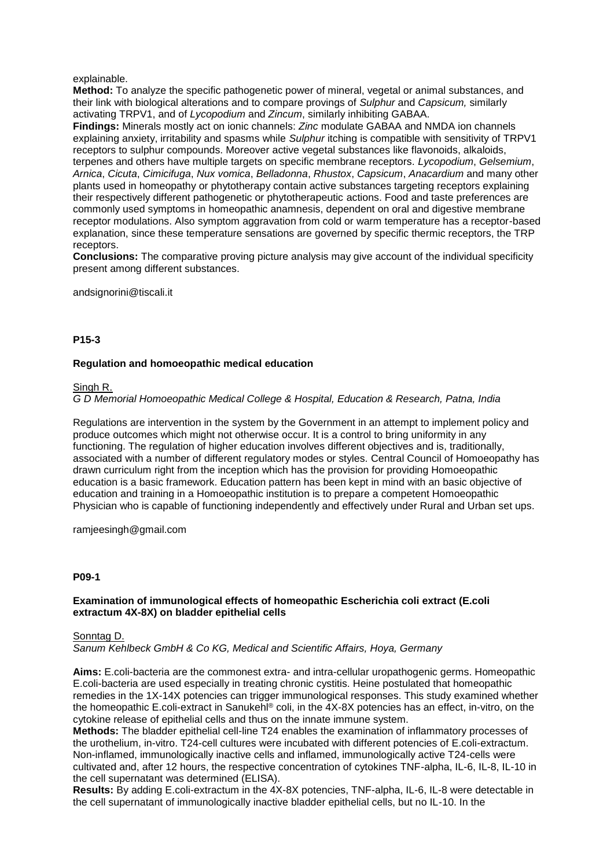## explainable.

**Method:** To analyze the specific pathogenetic power of mineral, vegetal or animal substances, and their link with biological alterations and to compare provings of *Sulphur* and *Capsicum,* similarly activating TRPV1, and of *Lycopodium* and *Zincum*, similarly inhibiting GABAA.

**Findings:** Minerals mostly act on ionic channels: *Zinc* modulate GABAA and NMDA ion channels explaining anxiety, irritability and spasms while *Sulphur* itching is compatible with sensitivity of TRPV1 receptors to sulphur compounds. Moreover active vegetal substances like flavonoids, alkaloids, terpenes and others have multiple targets on specific membrane receptors. *Lycopodium*, *Gelsemium*, *Arnica*, *Cicuta*, *Cimicifuga*, *Nux vomica*, *Belladonna*, *Rhustox*, *Capsicum*, *Anacardium* and many other plants used in homeopathy or phytotherapy contain active substances targeting receptors explaining their respectively different pathogenetic or phytotherapeutic actions. Food and taste preferences are commonly used symptoms in homeopathic anamnesis, dependent on oral and digestive membrane receptor modulations. Also symptom aggravation from cold or warm temperature has a receptor-based explanation, since these temperature sensations are governed by specific thermic receptors, the TRP receptors.

**Conclusions:** The comparative proving picture analysis may give account of the individual specificity present among different substances.

#### andsignorini@tiscali.it

## **P15-3**

## **Regulation and homoeopathic medical education**

#### Singh R.

# *G D Memorial Homoeopathic Medical College & Hospital, Education & Research, Patna, India*

Regulations are intervention in the system by the Government in an attempt to implement policy and produce outcomes which might not otherwise occur. It is a control to bring uniformity in any functioning. The regulation of higher education involves different objectives and is, traditionally, associated with a number of different regulatory modes or styles. Central Council of Homoeopathy has drawn curriculum right from the inception which has the provision for providing Homoeopathic education is a basic framework. Education pattern has been kept in mind with an basic objective of education and training in a Homoeopathic institution is to prepare a competent Homoeopathic Physician who is capable of functioning independently and effectively under Rural and Urban set ups.

ramjeesingh@gmail.com

#### **P09-1**

## **Examination of immunological effects of homeopathic Escherichia coli extract (E.coli extractum 4X-8X) on bladder epithelial cells**

#### Sonntag D.

*Sanum Kehlbeck GmbH & Co KG, Medical and Scientific Affairs, Hoya, Germany*

**Aims:** E.coli-bacteria are the commonest extra- and intra-cellular uropathogenic germs. Homeopathic E.coli-bacteria are used especially in treating chronic cystitis. Heine postulated that homeopathic remedies in the 1X-14X potencies can trigger immunological responses. This study examined whether the homeopathic E.coli-extract in Sanukehl® coli, in the 4X-8X potencies has an effect, in-vitro, on the cytokine release of epithelial cells and thus on the innate immune system.

**Methods:** The bladder epithelial cell-line T24 enables the examination of inflammatory processes of the urothelium, in-vitro. T24-cell cultures were incubated with different potencies of E.coli-extractum. Non-inflamed, immunologically inactive cells and inflamed, immunologically active T24-cells were cultivated and, after 12 hours, the respective concentration of cytokines TNF-alpha, IL-6, IL-8, IL-10 in the cell supernatant was determined (ELISA).

**Results:** By adding E.coli-extractum in the 4X-8X potencies, TNF-alpha, IL-6, IL-8 were detectable in the cell supernatant of immunologically inactive bladder epithelial cells, but no IL-10. In the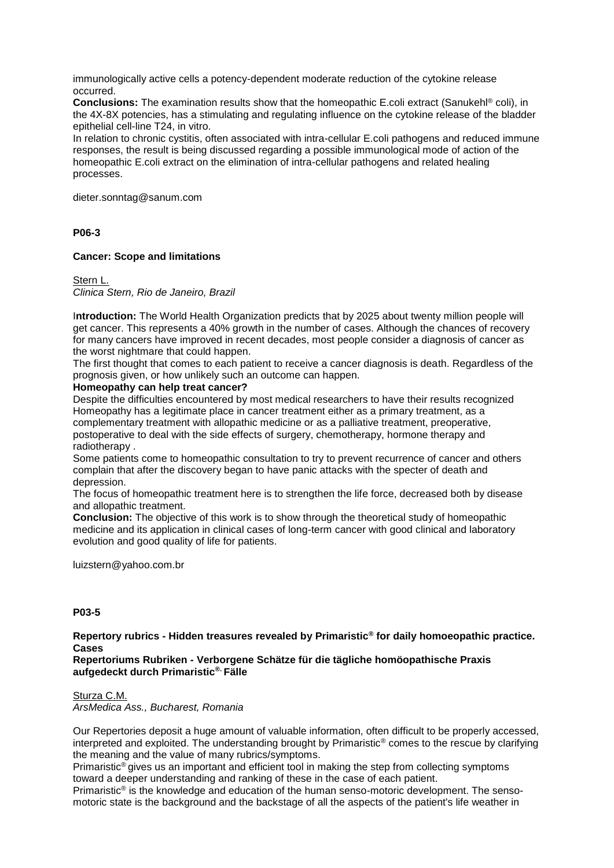immunologically active cells a potency-dependent moderate reduction of the cytokine release occurred.

**Conclusions:** The examination results show that the homeopathic E.coli extract (Sanukehl® coli), in the 4X-8X potencies, has a stimulating and regulating influence on the cytokine release of the bladder epithelial cell-line T24, in vitro.

In relation to chronic cystitis, often associated with intra-cellular E.coli pathogens and reduced immune responses, the result is being discussed regarding a possible immunological mode of action of the homeopathic E.coli extract on the elimination of intra-cellular pathogens and related healing processes.

dieter.sonntag@sanum.com

## **P06-3**

## **Cancer: Scope and limitations**

Stern L. *Clinica Stern, Rio de Janeiro, Brazil*

I**ntroduction:** The World Health Organization predicts that by 2025 about twenty million people will get cancer. This represents a 40% growth in the number of cases. Although the chances of recovery for many cancers have improved in recent decades, most people consider a diagnosis of cancer as the worst nightmare that could happen.

The first thought that comes to each patient to receive a cancer diagnosis is death. Regardless of the prognosis given, or how unlikely such an outcome can happen.

## **Homeopathy can help treat cancer?**

Despite the difficulties encountered by most medical researchers to have their results recognized Homeopathy has a legitimate place in cancer treatment either as a primary treatment, as a complementary treatment with allopathic medicine or as a palliative treatment, preoperative, postoperative to deal with the side effects of surgery, chemotherapy, hormone therapy and radiotherapy .

Some patients come to homeopathic consultation to try to prevent recurrence of cancer and others complain that after the discovery began to have panic attacks with the specter of death and depression.

The focus of homeopathic treatment here is to strengthen the life force, decreased both by disease and allopathic treatment.

**Conclusion:** The objective of this work is to show through the theoretical study of homeopathic medicine and its application in clinical cases of long-term cancer with good clinical and laboratory evolution and good quality of life for patients.

luizstern@yahoo.com.br

## **P03-5**

**Repertory rubrics - Hidden treasures revealed by Primaristic® for daily homoeopathic practice. Cases**

**Repertoriums Rubriken - Verborgene Schätze für die tägliche homöopathische Praxis aufgedeckt durch Primaristic®. Fälle**

## Sturza C.M.

*ArsMedica Ass., Bucharest, Romania*

Our Repertories deposit a huge amount of valuable information, often difficult to be properly accessed, interpreted and exploited. The understanding brought by Primaristic® comes to the rescue by clarifying the meaning and the value of many rubrics/symptoms.

Primaristic® gives us an important and efficient tool in making the step from collecting symptoms toward a deeper understanding and ranking of these in the case of each patient.

Primaristic® is the knowledge and education of the human senso-motoric development. The sensomotoric state is the background and the backstage of all the aspects of the patient's life weather in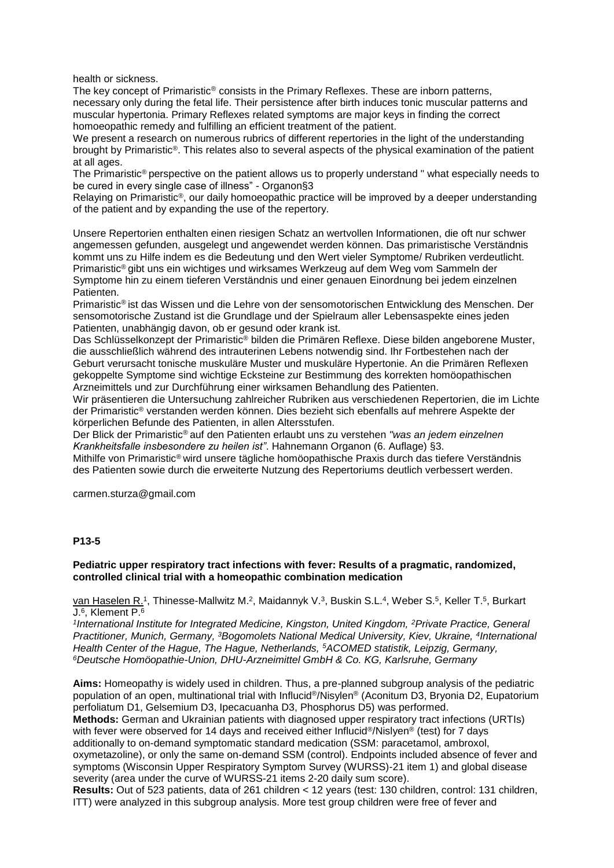health or sickness.

The key concept of Primaristic® consists in the Primary Reflexes. These are inborn patterns, necessary only during the fetal life. Their persistence after birth induces tonic muscular patterns and muscular hypertonia. Primary Reflexes related symptoms are major keys in finding the correct homoeopathic remedy and fulfilling an efficient treatment of the patient.

We present a research on numerous rubrics of different repertories in the light of the understanding brought by Primaristic®. This relates also to several aspects of the physical examination of the patient at all ages.

The Primaristic® perspective on the patient allows us to properly understand " what especially needs to be cured in every single case of illness" - Organon§3

Relaying on Primaristic®, our daily homoeopathic practice will be improved by a deeper understanding of the patient and by expanding the use of the repertory.

Unsere Repertorien enthalten einen riesigen Schatz an wertvollen Informationen, die oft nur schwer angemessen gefunden, ausgelegt und angewendet werden können. Das primaristische Verständnis kommt uns zu Hilfe indem es die Bedeutung und den Wert vieler Symptome/ Rubriken verdeutlicht. Primaristic® gibt uns ein wichtiges und wirksames Werkzeug auf dem Weg vom Sammeln der Symptome hin zu einem tieferen Verständnis und einer genauen Einordnung bei jedem einzelnen **Patienten** 

Primaristic® ist das Wissen und die Lehre von der sensomotorischen Entwicklung des Menschen. Der sensomotorische Zustand ist die Grundlage und der Spielraum aller Lebensaspekte eines jeden Patienten, unabhängig davon, ob er gesund oder krank ist.

Das Schlüsselkonzept der Primaristic® bilden die Primären Reflexe. Diese bilden angeborene Muster, die ausschließlich während des intrauterinen Lebens notwendig sind. Ihr Fortbestehen nach der Geburt verursacht tonische muskuläre Muster und muskuläre Hypertonie. An die Primären Reflexen gekoppelte Symptome sind wichtige Ecksteine zur Bestimmung des korrekten homöopathischen Arzneimittels und zur Durchführung einer wirksamen Behandlung des Patienten.

Wir präsentieren die Untersuchung zahlreicher Rubriken aus verschiedenen Repertorien, die im Lichte der Primaristic® verstanden werden können. Dies bezieht sich ebenfalls auf mehrere Aspekte der körperlichen Befunde des Patienten, in allen Altersstufen.

Der Blick der Primaristic® auf den Patienten erlaubt uns zu verstehen *"was an jedem einzelnen Krankheitsfalle insbesondere zu heilen ist"*. Hahnemann Organon (6. Auflage) §3.

Mithilfe von Primaristic® wird unsere tägliche homöopathische Praxis durch das tiefere Verständnis des Patienten sowie durch die erweiterte Nutzung des Repertoriums deutlich verbessert werden.

carmen.sturza@gmail.com

## **P13-5**

#### **Pediatric upper respiratory tract infections with fever: Results of a pragmatic, randomized, controlled clinical trial with a homeopathic combination medication**

van Haselen R.<sup>1</sup>, Thinesse-Mallwitz M.<sup>2</sup>, Maidannyk V.<sup>3</sup>, Buskin S.L.<sup>4</sup>, Weber S.<sup>5</sup>, Keller T.<sup>5</sup>, Burkart J.<sup>6</sup> , Klement P.<sup>6</sup>

<sup>1</sup>International Institute for Integrated Medicine, Kingston, United Kingdom, <sup>2</sup>Private Practice, General *Practitioner, Munich, Germany, <sup>3</sup>Bogomolets National Medical University, Kiev, Ukraine, <sup>4</sup> International Health Center of the Hague, The Hague, Netherlands, <sup>5</sup>ACOMED statistik, Leipzig, Germany, <sup>6</sup>Deutsche Homöopathie-Union, DHU-Arzneimittel GmbH & Co. KG, Karlsruhe, Germany*

**Aims:** Homeopathy is widely used in children. Thus, a pre-planned subgroup analysis of the pediatric population of an open, multinational trial with Influcid®/Nisylen® (Aconitum D3, Bryonia D2, Eupatorium perfoliatum D1, Gelsemium D3, Ipecacuanha D3, Phosphorus D5) was performed. **Methods:** German and Ukrainian patients with diagnosed upper respiratory tract infections (URTIs)

with fever were observed for 14 days and received either Influcid®/Nislyen® (test) for 7 days additionally to on-demand symptomatic standard medication (SSM: paracetamol, ambroxol, oxymetazoline), or only the same on-demand SSM (control). Endpoints included absence of fever and symptoms (Wisconsin Upper Respiratory Symptom Survey (WURSS)-21 item 1) and global disease severity (area under the curve of WURSS-21 items 2-20 daily sum score).

**Results:** Out of 523 patients, data of 261 children < 12 years (test: 130 children, control: 131 children, ITT) were analyzed in this subgroup analysis. More test group children were free of fever and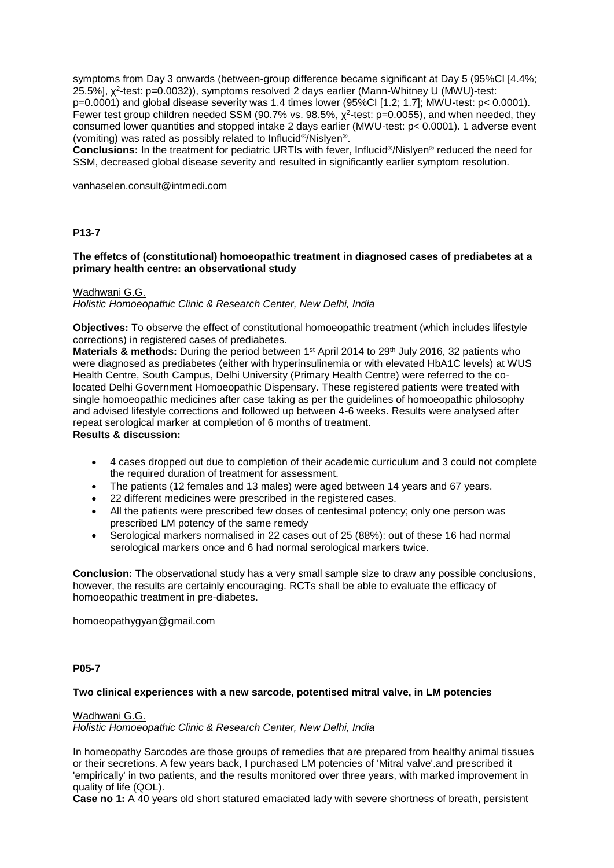symptoms from Day 3 onwards (between-group difference became significant at Day 5 (95%CI [4.4%; 25.5%], χ 2 -test: p=0.0032)), symptoms resolved 2 days earlier (Mann-Whitney U (MWU)-test:

p=0.0001) and global disease severity was 1.4 times lower (95%CI [1.2; 1.7]; MWU-test: p< 0.0001). Fewer test group children needed SSM (90.7% vs. 98.5%,  $\chi^2$ -test: p=0.0055), and when needed, they consumed lower quantities and stopped intake 2 days earlier (MWU-test: p< 0.0001). 1 adverse event (vomiting) was rated as possibly related to Influcid®/Nislyen®.

**Conclusions:** In the treatment for pediatric URTIs with fever, Influcid®/Nislyen® reduced the need for SSM, decreased global disease severity and resulted in significantly earlier symptom resolution.

vanhaselen.consult@intmedi.com

## **P13-7**

#### **The effetcs of (constitutional) homoeopathic treatment in diagnosed cases of prediabetes at a primary health centre: an observational study**

#### Wadhwani G.G.

*Holistic Homoeopathic Clinic & Research Center, New Delhi, India*

**Objectives:** To observe the effect of constitutional homoeopathic treatment (which includes lifestyle corrections) in registered cases of prediabetes.

**Materials & methods:** During the period between 1<sup>st</sup> April 2014 to 29<sup>th</sup> July 2016, 32 patients who were diagnosed as prediabetes (either with hyperinsulinemia or with elevated HbA1C levels) at WUS Health Centre, South Campus, Delhi University (Primary Health Centre) were referred to the colocated Delhi Government Homoeopathic Dispensary. These registered patients were treated with single homoeopathic medicines after case taking as per the guidelines of homoeopathic philosophy and advised lifestyle corrections and followed up between 4-6 weeks. Results were analysed after repeat serological marker at completion of 6 months of treatment. **Results & discussion:**

- 4 cases dropped out due to completion of their academic curriculum and 3 could not complete the required duration of treatment for assessment.
- The patients (12 females and 13 males) were aged between 14 years and 67 years.
- 22 different medicines were prescribed in the registered cases.
- All the patients were prescribed few doses of centesimal potency; only one person was prescribed LM potency of the same remedy
- Serological markers normalised in 22 cases out of 25 (88%): out of these 16 had normal serological markers once and 6 had normal serological markers twice.

**Conclusion:** The observational study has a very small sample size to draw any possible conclusions, however, the results are certainly encouraging. RCTs shall be able to evaluate the efficacy of homoeopathic treatment in pre-diabetes.

homoeopathygyan@gmail.com

#### **P05-7**

#### **Two clinical experiences with a new sarcode, potentised mitral valve, in LM potencies**

#### Wadhwani G.G.

*Holistic Homoeopathic Clinic & Research Center, New Delhi, India*

In homeopathy Sarcodes are those groups of remedies that are prepared from healthy animal tissues or their secretions. A few years back, I purchased LM potencies of 'Mitral valve'.and prescribed it 'empirically' in two patients, and the results monitored over three years, with marked improvement in quality of life (QOL).

**Case no 1:** A 40 years old short statured emaciated lady with severe shortness of breath, persistent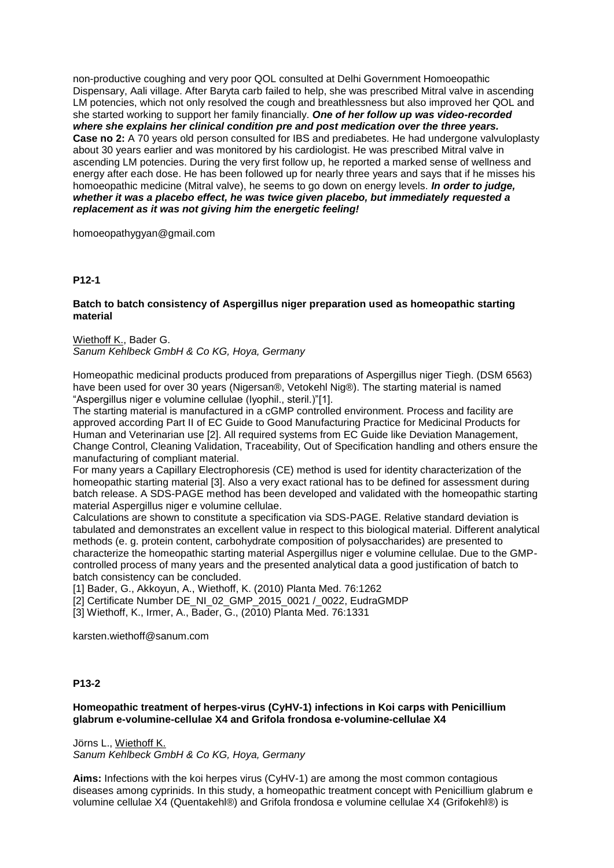non-productive coughing and very poor QOL consulted at Delhi Government Homoeopathic Dispensary, Aali village. After Baryta carb failed to help, she was prescribed Mitral valve in ascending LM potencies, which not only resolved the cough and breathlessness but also improved her QOL and she started working to support her family financially. *One of her follow up was video-recorded where she explains her clinical condition pre and post medication over the three years.* **Case no 2:** A 70 years old person consulted for IBS and prediabetes. He had undergone valvuloplasty about 30 years earlier and was monitored by his cardiologist. He was prescribed Mitral valve in ascending LM potencies. During the very first follow up, he reported a marked sense of wellness and energy after each dose. He has been followed up for nearly three years and says that if he misses his homoeopathic medicine (Mitral valve), he seems to go down on energy levels. *In order to judge, whether it was a placebo effect, he was twice given placebo, but immediately requested a replacement as it was not giving him the energetic feeling!*

homoeopathygyan@gmail.com

# **P12-1**

## **Batch to batch consistency of Aspergillus niger preparation used as homeopathic starting material**

Wiethoff K., Bader G. *Sanum Kehlbeck GmbH & Co KG, Hoya, Germany*

Homeopathic medicinal products produced from preparations of Aspergillus niger Tiegh. (DSM 6563) have been used for over 30 years (Nigersan®, Vetokehl Nig®). The starting material is named "Aspergillus niger e volumine cellulae (lyophil., steril.)"[1].

The starting material is manufactured in a cGMP controlled environment. Process and facility are approved according Part II of EC Guide to Good Manufacturing Practice for Medicinal Products for Human and Veterinarian use [2]. All required systems from EC Guide like Deviation Management, Change Control, Cleaning Validation, Traceability, Out of Specification handling and others ensure the manufacturing of compliant material.

For many years a Capillary Electrophoresis (CE) method is used for identity characterization of the homeopathic starting material [3]. Also a very exact rational has to be defined for assessment during batch release. A SDS-PAGE method has been developed and validated with the homeopathic starting material Aspergillus niger e volumine cellulae.

Calculations are shown to constitute a specification via SDS-PAGE. Relative standard deviation is tabulated and demonstrates an excellent value in respect to this biological material. Different analytical methods (e. g. protein content, carbohydrate composition of polysaccharides) are presented to characterize the homeopathic starting material Aspergillus niger e volumine cellulae. Due to the GMPcontrolled process of many years and the presented analytical data a good justification of batch to batch consistency can be concluded.

[1] Bader, G., Akkoyun, A., Wiethoff, K. (2010) Planta Med. 76:1262

[2] Certificate Number DE\_NI\_02\_GMP\_2015\_0021 /\_0022, EudraGMDP

[3] Wiethoff, K., Irmer, A., Bader, G., (2010) Planta Med. 76:1331

karsten.wiethoff@sanum.com

# **P13-2**

# **Homeopathic treatment of herpes-virus (CyHV-1) infections in Koi carps with Penicillium glabrum e-volumine-cellulae X4 and Grifola frondosa e-volumine-cellulae X4**

Jörns L., Wiethoff K. *Sanum Kehlbeck GmbH & Co KG, Hoya, Germany*

**Aims:** Infections with the koi herpes virus (CyHV-1) are among the most common contagious diseases among cyprinids. In this study, a homeopathic treatment concept with Penicillium glabrum e volumine cellulae X4 (Quentakehl®) and Grifola frondosa e volumine cellulae X4 (Grifokehl®) is